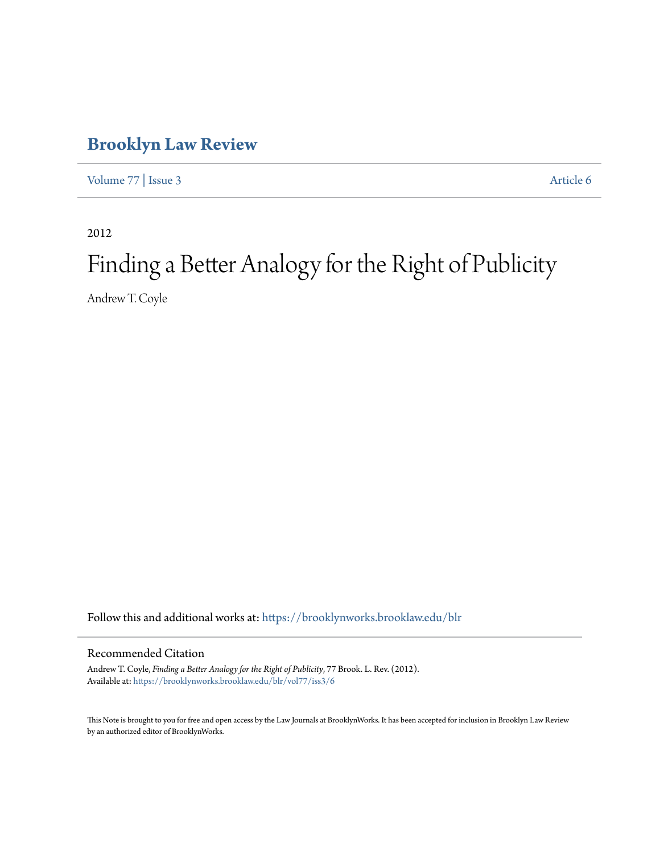# **[Brooklyn Law Review](https://brooklynworks.brooklaw.edu/blr?utm_source=brooklynworks.brooklaw.edu%2Fblr%2Fvol77%2Fiss3%2F6&utm_medium=PDF&utm_campaign=PDFCoverPages)**

[Volume 77](https://brooklynworks.brooklaw.edu/blr/vol77?utm_source=brooklynworks.brooklaw.edu%2Fblr%2Fvol77%2Fiss3%2F6&utm_medium=PDF&utm_campaign=PDFCoverPages) | [Issue 3](https://brooklynworks.brooklaw.edu/blr/vol77/iss3?utm_source=brooklynworks.brooklaw.edu%2Fblr%2Fvol77%2Fiss3%2F6&utm_medium=PDF&utm_campaign=PDFCoverPages) [Article 6](https://brooklynworks.brooklaw.edu/blr/vol77/iss3/6?utm_source=brooklynworks.brooklaw.edu%2Fblr%2Fvol77%2Fiss3%2F6&utm_medium=PDF&utm_campaign=PDFCoverPages)

2012

# Finding a Better Analogy for the Right of Publicity

Andrew T. Coyle

Follow this and additional works at: [https://brooklynworks.brooklaw.edu/blr](https://brooklynworks.brooklaw.edu/blr?utm_source=brooklynworks.brooklaw.edu%2Fblr%2Fvol77%2Fiss3%2F6&utm_medium=PDF&utm_campaign=PDFCoverPages)

# Recommended Citation

Andrew T. Coyle, *Finding a Better Analogy for the Right of Publicity*, 77 Brook. L. Rev. (2012). Available at: [https://brooklynworks.brooklaw.edu/blr/vol77/iss3/6](https://brooklynworks.brooklaw.edu/blr/vol77/iss3/6?utm_source=brooklynworks.brooklaw.edu%2Fblr%2Fvol77%2Fiss3%2F6&utm_medium=PDF&utm_campaign=PDFCoverPages)

This Note is brought to you for free and open access by the Law Journals at BrooklynWorks. It has been accepted for inclusion in Brooklyn Law Review by an authorized editor of BrooklynWorks.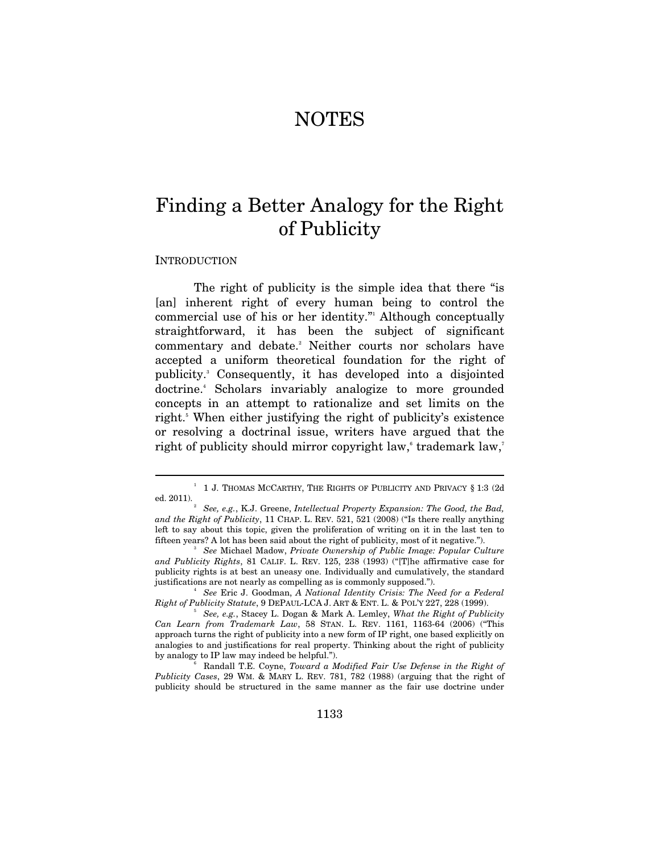# NOTES

# Finding a Better Analogy for the Right of Publicity

#### **INTRODUCTION**

 $\overline{a}$ 

The right of publicity is the simple idea that there "is [an] inherent right of every human being to control the commercial use of his or her identity." Although conceptually straightforward, it has been the subject of significant commentary and debate.<sup>2</sup> Neither courts nor scholars have accepted a uniform theoretical foundation for the right of publicity.3 Consequently, it has developed into a disjointed doctrine.4 Scholars invariably analogize to more grounded concepts in an attempt to rationalize and set limits on the right.<sup>5</sup> When either justifying the right of publicity's existence or resolving a doctrinal issue, writers have argued that the right of publicity should mirror copyright law,<sup>s</sup> trademark law,<sup>7</sup>

 $^{\rm 1}$   $\,$  1 J. Thomas McCarthy, The Rights of Publicity and Privacy § 1:3 (2d ed. 2011). $\frac{1}{2}$ 

*See, e.g.*, K.J. Greene, *Intellectual Property Expansion: The Good, the Bad, and the Right of Publicity*, 11 CHAP. L. REV. 521, 521 (2008) ("Is there really anything left to say about this topic, given the proliferation of writing on it in the last ten to fifteen years? A lot has been said about the right of publicity, most of it negative."). 3

*See* Michael Madow, *Private Ownership of Public Image: Popular Culture and Publicity Rights*, 81 CALIF. L. REV. 125, 238 (1993) ("[T]he affirmative case for publicity rights is at best an uneasy one. Individually and cumulatively, the standard justifications are not nearly as compelling as is commonly supposed."). 4

*See* Eric J. Goodman, *A National Identity Crisis: The Need for a Federal Right of Publicity Statute*, 9 DEPAUL-LCA J. ART & ENT. L. & POL'Y 227, 228 (1999).

*See, e.g.*, Stacey L. Dogan & Mark A. Lemley, *What the Right of Publicity Can Learn from Trademark Law*, 58 STAN. L. REV. 1161, 1163-64 (2006) ("This approach turns the right of publicity into a new form of IP right, one based explicitly on analogies to and justifications for real property. Thinking about the right of publicity by analogy to IP law may indeed be helpful.").

Randall T.E. Coyne, *Toward a Modified Fair Use Defense in the Right of Publicity Cases*, 29 WM. & MARY L. REV. 781, 782 (1988) (arguing that the right of publicity should be structured in the same manner as the fair use doctrine under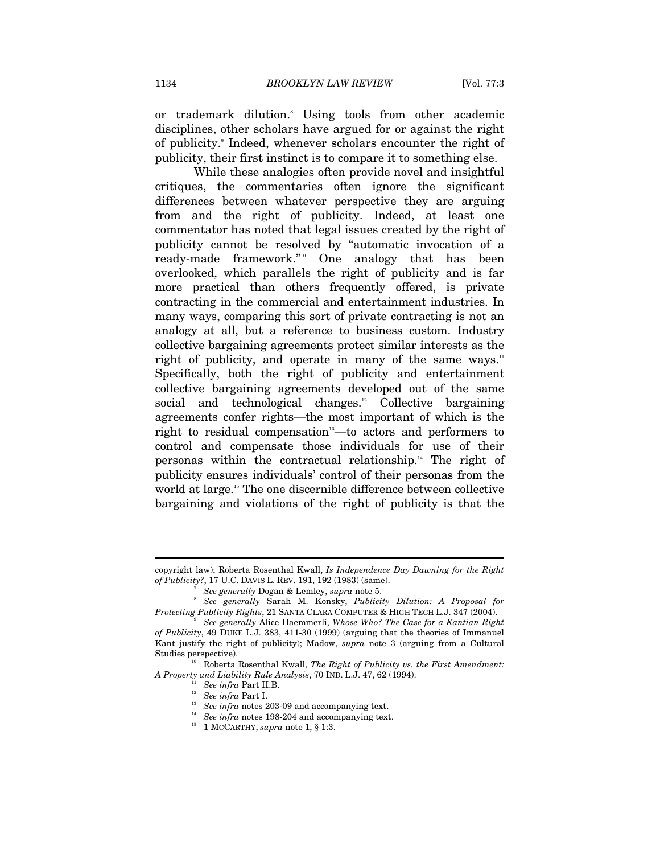or trademark dilution.8 Using tools from other academic disciplines, other scholars have argued for or against the right of publicity.<sup>9</sup> Indeed, whenever scholars encounter the right of publicity, their first instinct is to compare it to something else.

While these analogies often provide novel and insightful critiques, the commentaries often ignore the significant differences between whatever perspective they are arguing from and the right of publicity. Indeed, at least one commentator has noted that legal issues created by the right of publicity cannot be resolved by "automatic invocation of a ready-made framework."<sup>10</sup> One analogy that has been overlooked, which parallels the right of publicity and is far more practical than others frequently offered, is private contracting in the commercial and entertainment industries. In many ways, comparing this sort of private contracting is not an analogy at all, but a reference to business custom. Industry collective bargaining agreements protect similar interests as the right of publicity, and operate in many of the same ways.<sup>11</sup> Specifically, both the right of publicity and entertainment collective bargaining agreements developed out of the same social and technological changes.<sup>12</sup> Collective bargaining agreements confer rights—the most important of which is the right to residual compensation<sup>13</sup>—to actors and performers to control and compensate those individuals for use of their personas within the contractual relationship.<sup>14</sup> The right of publicity ensures individuals' control of their personas from the world at large.<sup>15</sup> The one discernible difference between collective bargaining and violations of the right of publicity is that the

copyright law); Roberta Rosenthal Kwall, *Is Independence Day Dawning for the Right of Publicity?*, 17 U.C. DAVIS L. REV. 191, 192 (1983) (same). 7

*See generally* Dogan & Lemley, *supra* note 5.

*See generally* Sarah M. Konsky, *Publicity Dilution: A Proposal for Protecting Publicity Rights*, 21 SANTA CLARA COMPUTER & HIGH TECH L.J. 347 (2004). 9

*See generally* Alice Haemmerli, *Whose Who? The Case for a Kantian Right of Publicity*, 49 DUKE L.J. 383, 411-30 (1999) (arguing that the theories of Immanuel Kant justify the right of publicity); Madow, *supra* note 3 (arguing from a Cultural

Studies perspective).<br><sup>10</sup> Roberta Rosenthal Kwall, *The Right of Publicity vs. the First Amendment:*<br>*A Property and Liability Rule Analysis*, 70 IND. L.J. 47, 62 (1994).

<sup>&</sup>lt;sup>11</sup> See infra Part II.B.<br><sup>12</sup> See infra Part I.<br><sup>13</sup> See infra notes 203-09 and accompanying text.<br><sup>14</sup> See infra notes 198-204 and accompanying text.<br><sup>15</sup> 1 MCCARTHY, *supra* note 1, § 1:3.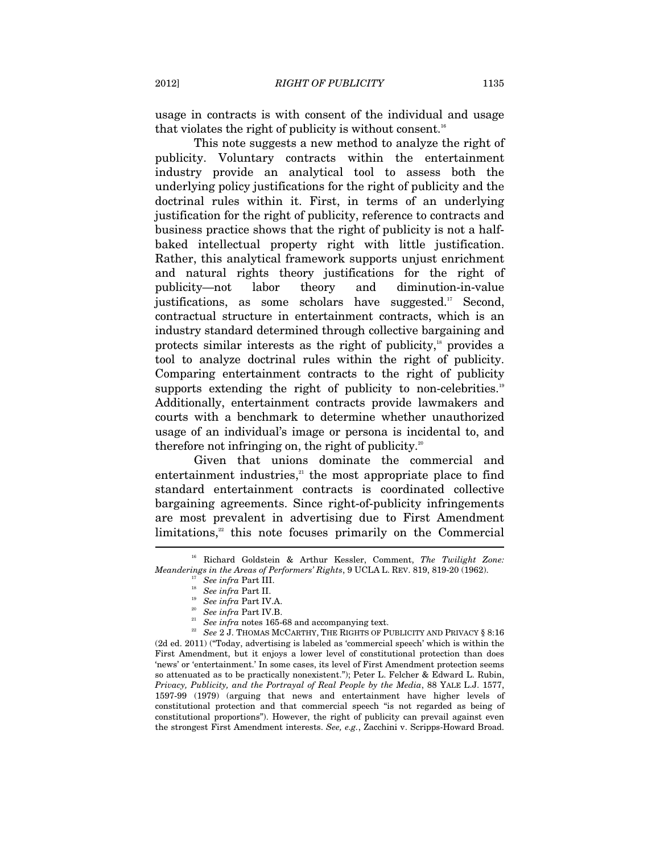usage in contracts is with consent of the individual and usage that violates the right of publicity is without consent.<sup>16</sup>

This note suggests a new method to analyze the right of publicity. Voluntary contracts within the entertainment industry provide an analytical tool to assess both the underlying policy justifications for the right of publicity and the doctrinal rules within it. First, in terms of an underlying justification for the right of publicity, reference to contracts and business practice shows that the right of publicity is not a halfbaked intellectual property right with little justification. Rather, this analytical framework supports unjust enrichment and natural rights theory justifications for the right of publicity—not labor theory and diminution-in-value justifications, as some scholars have suggested.<sup>17</sup> Second, contractual structure in entertainment contracts, which is an industry standard determined through collective bargaining and protects similar interests as the right of publicity, $18$  provides a tool to analyze doctrinal rules within the right of publicity. Comparing entertainment contracts to the right of publicity supports extending the right of publicity to non-celebrities.<sup>19</sup> Additionally, entertainment contracts provide lawmakers and courts with a benchmark to determine whether unauthorized usage of an individual's image or persona is incidental to, and therefore not infringing on, the right of publicity.<sup>20</sup>

Given that unions dominate the commercial and entertainment industries, $21$  the most appropriate place to find standard entertainment contracts is coordinated collective bargaining agreements. Since right-of-publicity infringements are most prevalent in advertising due to First Amendment  $\text{limitations},^{2}$  this note focuses primarily on the Commercial

(2d ed. 2011) ("Today, advertising is labeled as 'commercial speech' which is within the First Amendment, but it enjoys a lower level of constitutional protection than does 'news' or 'entertainment.' In some cases, its level of First Amendment protection seems so attenuated as to be practically nonexistent."); Peter L. Felcher & Edward L. Rubin, *Privacy, Publicity, and the Portrayal of Real People by the Media*, 88 YALE L.J. 1577, 1597-99 (1979) (arguing that news and entertainment have higher levels of constitutional protection and that commercial speech "is not regarded as being of constitutional proportions"). However, the right of publicity can prevail against even the strongest First Amendment interests. *See, e.g.*, Zacchini v. Scripps-Howard Broad.

<sup>16</sup> Richard Goldstein & Arthur Kessler, Comment, *The Twilight Zone: Meanderings in the Areas of Performers' Rights, 9 UCLA L. REV. 819, 819-20 (1962).*<br>
<sup>17</sup> See infra Part III.<br>
<sup>18</sup> See infra Part II.<br>
<sup>19</sup> See infra Part IV.A.<br>
<sup>29</sup> See infra Part IV.B.<br>
<sup>29</sup> See infra notes 165-68 an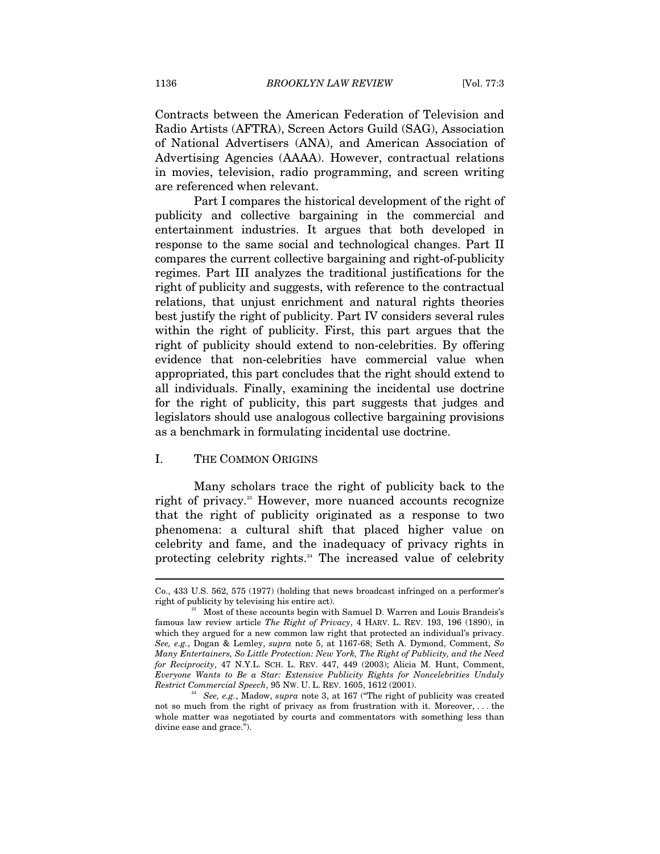Contracts between the American Federation of Television and Radio Artists (AFTRA), Screen Actors Guild (SAG), Association of National Advertisers (ANA), and American Association of Advertising Agencies (AAAA). However, contractual relations in movies, television, radio programming, and screen writing are referenced when relevant.

Part I compares the historical development of the right of publicity and collective bargaining in the commercial and entertainment industries. It argues that both developed in response to the same social and technological changes. Part II compares the current collective bargaining and right-of-publicity regimes. Part III analyzes the traditional justifications for the right of publicity and suggests, with reference to the contractual relations, that unjust enrichment and natural rights theories best justify the right of publicity. Part IV considers several rules within the right of publicity. First, this part argues that the right of publicity should extend to non-celebrities. By offering evidence that non-celebrities have commercial value when appropriated, this part concludes that the right should extend to all individuals. Finally, examining the incidental use doctrine for the right of publicity, this part suggests that judges and legislators should use analogous collective bargaining provisions as a benchmark in formulating incidental use doctrine.

#### I. THE COMMON ORIGINS

 $\overline{a}$ 

Many scholars trace the right of publicity back to the right of privacy.<sup>23</sup> However, more nuanced accounts recognize that the right of publicity originated as a response to two phenomena: a cultural shift that placed higher value on celebrity and fame, and the inadequacy of privacy rights in protecting celebrity rights.<sup>24</sup> The increased value of celebrity

Co., 433 U.S. 562, 575 (1977) (holding that news broadcast infringed on a performer's right of publicity by televising his entire act).<br><sup>23</sup> Most of these accounts begin with Samuel D. Warren and Louis Brandeis's

famous law review article *The Right of Privacy*, 4 HARV. L. REV. 193, 196 (1890), in which they argued for a new common law right that protected an individual's privacy. *See, e.g.*, Dogan & Lemley, *supra* note 5, at 1167-68; Seth A. Dymond, Comment, *So Many Entertainers, So Little Protection: New York, The Right of Publicity, and the Need for Reciprocity*, 47 N.Y.L. SCH. L. REV. 447, 449 (2003); Alicia M. Hunt, Comment, *Everyone Wants to Be a Star: Extensive Publicity Rights for Noncelebrities Unduly Restrict Commercial Speech*, 95 NW. U. L. REV. 1605, 1612 (2001). 24 *See, e.g.*, Madow, *supra* note 3, at 167 ("The right of publicity was created

not so much from the right of privacy as from frustration with it. Moreover, . . . the whole matter was negotiated by courts and commentators with something less than divine ease and grace.").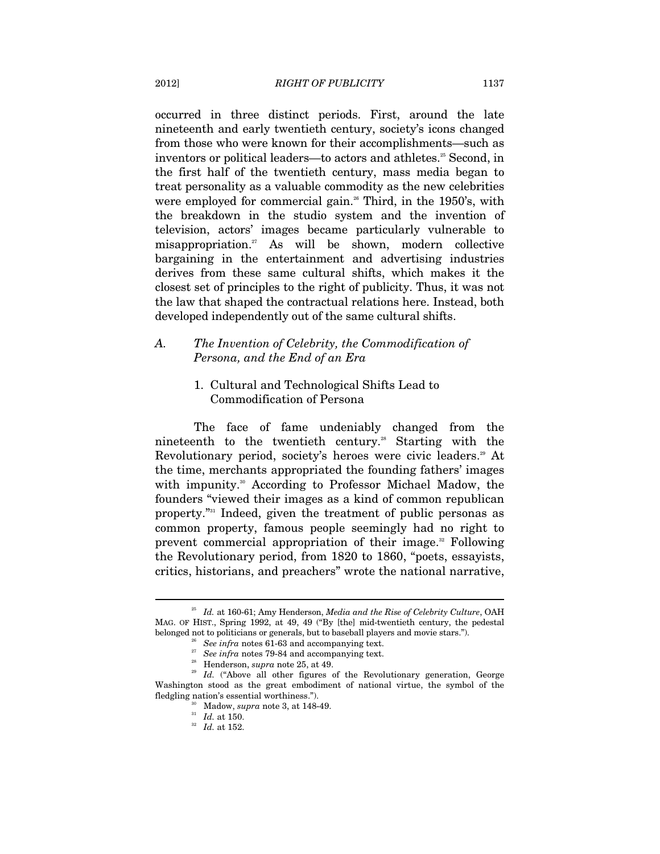occurred in three distinct periods. First, around the late nineteenth and early twentieth century, society's icons changed from those who were known for their accomplishments—such as inventors or political leaders—to actors and athletes.<sup>25</sup> Second, in the first half of the twentieth century, mass media began to treat personality as a valuable commodity as the new celebrities were employed for commercial gain.<sup>26</sup> Third, in the 1950's, with the breakdown in the studio system and the invention of television, actors' images became particularly vulnerable to misappropriation.27 As will be shown, modern collective bargaining in the entertainment and advertising industries derives from these same cultural shifts, which makes it the closest set of principles to the right of publicity. Thus, it was not the law that shaped the contractual relations here. Instead, both developed independently out of the same cultural shifts.

# *A. The Invention of Celebrity, the Commodification of Persona, and the End of an Era*

# 1. Cultural and Technological Shifts Lead to Commodification of Persona

The face of fame undeniably changed from the nineteenth to the twentieth century.<sup>28</sup> Starting with the Revolutionary period, society's heroes were civic leaders.<sup>29</sup> At the time, merchants appropriated the founding fathers' images with impunity.<sup>30</sup> According to Professor Michael Madow, the founders "viewed their images as a kind of common republican property."31 Indeed, given the treatment of public personas as common property, famous people seemingly had no right to prevent commercial appropriation of their image.<sup>32</sup> Following the Revolutionary period, from 1820 to 1860, "poets, essayists, critics, historians, and preachers" wrote the national narrative,

<sup>25</sup> *Id.* at 160-61; Amy Henderson, *Media and the Rise of Celebrity Culture*, OAH MAG. OF HIST., Spring 1992, at 49, 49 ("By [the] mid-twentieth century, the pedestal belonged not to politicians or generals, but to baseball players and movie stars.").<br>
<sup>26</sup> See infra notes 61-63 and accompanying text.<br>
<sup>27</sup> See infra notes 79-84 and accompanying text.<br>
<sup>28</sup> Henderson, *supra* note 25,

Washington stood as the great embodiment of national virtue, the symbol of the fledgling nation's essential worthiness."). 30 Madow, *supra* note 3, at 148-49. 31 *Id.* at 150. 32 *Id.* at 152.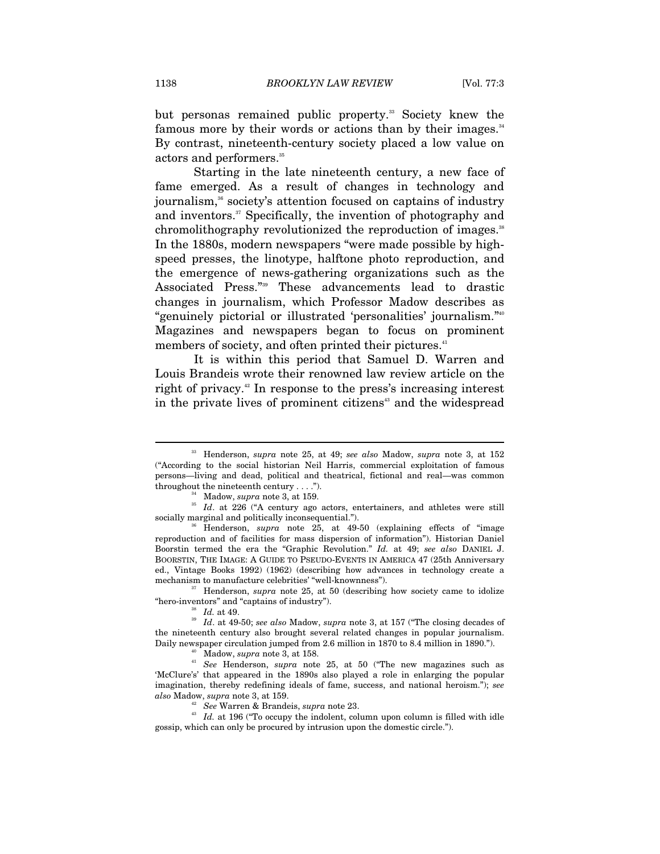but personas remained public property.<sup>33</sup> Society knew the famous more by their words or actions than by their images.<sup>34</sup> By contrast, nineteenth-century society placed a low value on actors and performers.<sup>35</sup>

Starting in the late nineteenth century, a new face of fame emerged. As a result of changes in technology and journalism,<sup>36</sup> society's attention focused on captains of industry and inventors.<sup>37</sup> Specifically, the invention of photography and chromolithography revolutionized the reproduction of images.<sup>38</sup> In the 1880s, modern newspapers "were made possible by highspeed presses, the linotype, halftone photo reproduction, and the emergence of news-gathering organizations such as the Associated Press."39 These advancements lead to drastic changes in journalism, which Professor Madow describes as "genuinely pictorial or illustrated 'personalities' journalism."40 Magazines and newspapers began to focus on prominent members of society, and often printed their pictures.<sup>41</sup>

It is within this period that Samuel D. Warren and Louis Brandeis wrote their renowned law review article on the right of privacy.<sup>42</sup> In response to the press's increasing interest in the private lives of prominent citizens<sup>43</sup> and the widespread

"hero-inventors" and "captains of industry"). 38 *Id.* at 49. 39 *Id*. at 49-50; *see also* Madow, *supra* note 3, at 157 ("The closing decades of

<sup>42</sup> *See* Warren & Brandeis, *supra* note 23. <sup>43</sup> *Id.* at 196 ("To occupy the indolent, column upon column is filled with idle gossip, which can only be procured by intrusion upon the domestic circle.").

<sup>33</sup> Henderson, *supra* note 25, at 49; *see also* Madow, *supra* note 3, at 152 ("According to the social historian Neil Harris, commercial exploitation of famous persons—living and dead, political and theatrical, fictional and real—was common throughout the nineteenth century . . . .").<br><sup>34</sup> Madow, *supra* note 3, at 159.<br><sup>35</sup> *Id.* at 226 ("A century ago actors, entertainers, and athletes were still

socially marginal and politically inconsequential.").<br><sup>36</sup> Henderson, *supra* note 25, at 49-50 (explaining effects of "image

reproduction and of facilities for mass dispersion of information"). Historian Daniel Boorstin termed the era the "Graphic Revolution." *Id.* at 49; *see also* DANIEL J. BOORSTIN, THE IMAGE: A GUIDE TO PSEUDO-EVENTS IN AMERICA 47 (25th Anniversary ed., Vintage Books 1992) (1962) (describing how advances in technology create a mechanism to manufacture celebrities' "well-knownness").<br><sup>37</sup> Henderson, *supra* note 25, at 50 (describing how society came to idolize

the nineteenth century also brought several related changes in popular journalism. Daily newspaper circulation jumped from 2.6 million in 1870 to 8.4 million in 1890.").<br><sup>40</sup> Madow, *supra* note 3, at 158.<br><sup>41</sup> *See* Henderson, *supra* note 25, at 50 ("The new magazines such as

<sup>&#</sup>x27;McClure's' that appeared in the 1890s also played a role in enlarging the popular imagination, thereby redefining ideals of fame, success, and national heroism."); *see*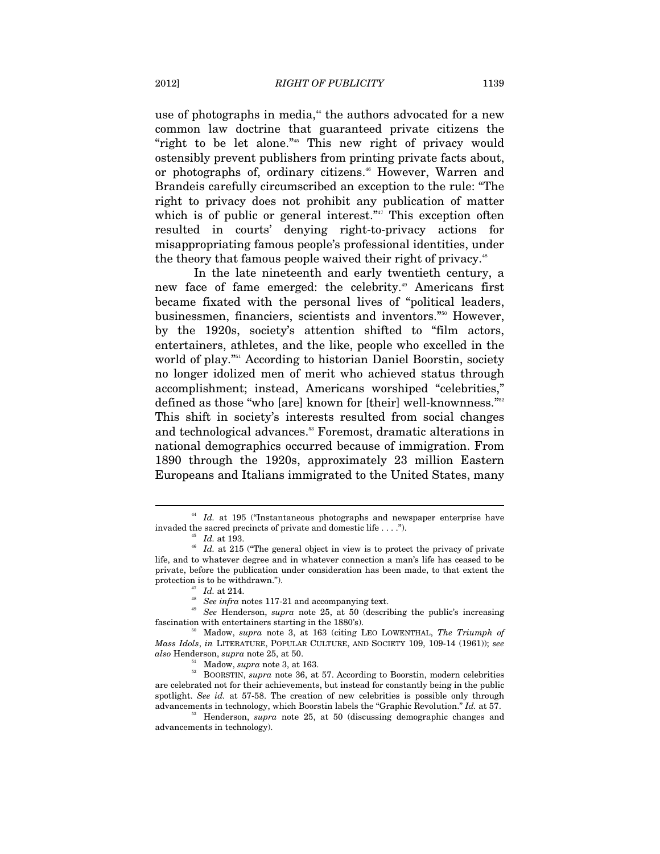use of photographs in media,<sup>44</sup> the authors advocated for a new common law doctrine that guaranteed private citizens the "right to be let alone."<sup>45</sup> This new right of privacy would ostensibly prevent publishers from printing private facts about, or photographs of, ordinary citizens.<sup>46</sup> However, Warren and Brandeis carefully circumscribed an exception to the rule: "The right to privacy does not prohibit any publication of matter which is of public or general interest." $47$  This exception often resulted in courts' denying right-to-privacy actions for misappropriating famous people's professional identities, under the theory that famous people waived their right of privacy.<sup>48</sup>

In the late nineteenth and early twentieth century, a new face of fame emerged: the celebrity.<sup>49</sup> Americans first became fixated with the personal lives of "political leaders, businessmen, financiers, scientists and inventors."50 However, by the 1920s, society's attention shifted to "film actors, entertainers, athletes, and the like, people who excelled in the world of play."<sup>51</sup> According to historian Daniel Boorstin, society no longer idolized men of merit who achieved status through accomplishment; instead, Americans worshiped "celebrities," defined as those "who [are] known for [their] well-knownness."<sup>52</sup> This shift in society's interests resulted from social changes and technological advances.<sup>53</sup> Foremost, dramatic alterations in national demographics occurred because of immigration. From 1890 through the 1920s, approximately 23 million Eastern Europeans and Italians immigrated to the United States, many

<sup>&</sup>lt;sup>44</sup> *Id.* at 195 ("Instantaneous photographs and newspaper enterprise have invaded the sacred precincts of private and domestic life . . . .").

<sup>&</sup>lt;sup>45</sup> *Id.* at 193. <sup>46</sup> *Id.* at 215 ("The general object in view is to protect the privacy of private life, and to whatever degree and in whatever connection a man's life has ceased to be private, before the publication under consideration has been made, to that extent the

protection is to be withdrawn.").<br>
<sup>47</sup> *Id.* at 214.<br>
<sup>48</sup> See infra notes 117-21 and accompanying text.<br>
<sup>49</sup> See Henderson, *supra* note 25, at 50 (describing the public's increasing fascination with entertainers starti

fascination with entertainers starting in the 1880's). 50 Madow, *supra* note 3, at 163 (citing LEO LOWENTHAL, *The Triumph of Mass Idols*, *in* LITERATURE, POPULAR CULTURE, AND SOCIETY 109, 109-14 (1961)); *see also* Henderson, *supra* note 25, at 50.<br><sup>51</sup> Madow, *supra* note 3, at 163.<br><sup>52</sup> BOORSTIN, *supra* note 36, at 57. According to Boorstin, modern celebrities

are celebrated not for their achievements, but instead for constantly being in the public spotlight. *See id.* at 57-58. The creation of new celebrities is possible only through advancements in technology, which Boorstin labels the "Graphic Revolution." *Id.* at 57.

<sup>&</sup>lt;sup>53</sup> Henderson, *supra* note 25, at 50 (discussing demographic changes and advancements in technology).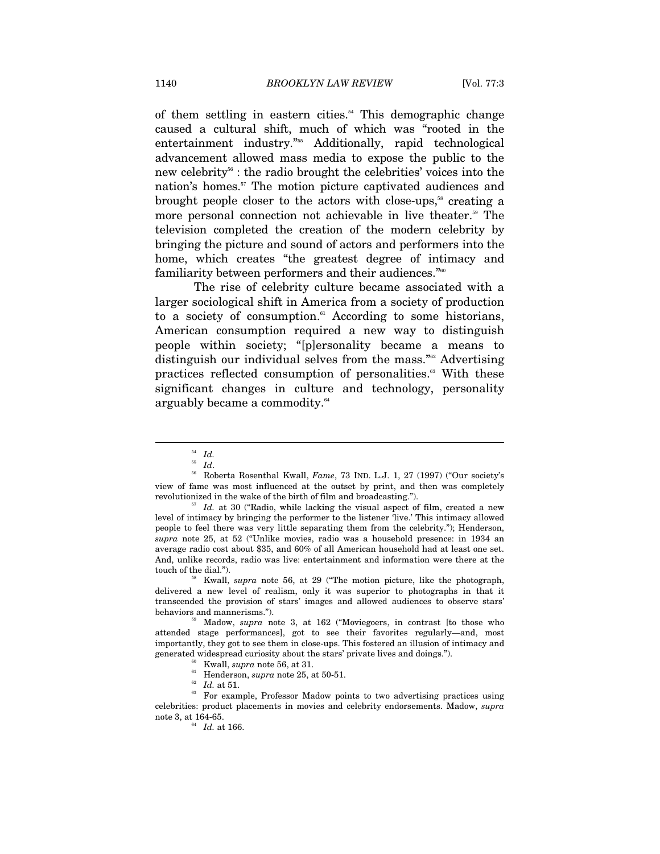of them settling in eastern cities.<sup>54</sup> This demographic change caused a cultural shift, much of which was "rooted in the entertainment industry."55 Additionally, rapid technological advancement allowed mass media to expose the public to the new celebrity<sup>56</sup> : the radio brought the celebrities' voices into the nation's homes.<sup>57</sup> The motion picture captivated audiences and brought people closer to the actors with close-ups,<sup>58</sup> creating a more personal connection not achievable in live theater.<sup>59</sup> The television completed the creation of the modern celebrity by bringing the picture and sound of actors and performers into the home, which creates "the greatest degree of intimacy and familiarity between performers and their audiences."60

The rise of celebrity culture became associated with a larger sociological shift in America from a society of production to a society of consumption.<sup>61</sup> According to some historians, American consumption required a new way to distinguish people within society; "[p]ersonality became a means to distinguish our individual selves from the mass."<sup>62</sup> Advertising practices reflected consumption of personalities.<sup>63</sup> With these significant changes in culture and technology, personality arguably became a commodity.<sup>64</sup>

 $\overline{a}$ 

delivered a new level of realism, only it was superior to photographs in that it transcended the provision of stars' images and allowed audiences to observe stars'

behaviors and mannerisms."). 59 Madow, *supra* note 3, at 162 ("Moviegoers, in contrast [to those who attended stage performances], got to see their favorites regularly—and, most importantly, they got to see them in close-ups. This fostered an illusion of intimacy and generated widespread curiosity about the stars' private lives and doings.").<br><sup>60</sup> Kwall, *supra* note 56, at 31.<br><sup>61</sup> Henderson, *supra* note 25, at 50-51.<br>*<sup>62</sup> Id.* at 51.

<sup>63</sup> For example, Professor Madow points to two advertising practices using celebrities: product placements in movies and celebrity endorsements. Madow, *supra*  note 3, at 164-65. 64 *Id.* at 166.

 $\begin{array}{cc} & \phantom{1}54 \ \phantom{1}55 \ \phantom{1}1d. \end{array}$ 

<sup>&</sup>lt;sup>56</sup> Roberta Rosenthal Kwall, *Fame*, 73 IND. L.J. 1, 27 (1997) ("Our society's view of fame was most influenced at the outset by print, and then was completely revolutionized in the wake of the birth of film and broadcasting."). 57 *Id.* at 30 ("Radio, while lacking the visual aspect of film, created a new

level of intimacy by bringing the performer to the listener 'live.' This intimacy allowed people to feel there was very little separating them from the celebrity."); Henderson, *supra* note 25, at 52 ("Unlike movies, radio was a household presence: in 1934 an average radio cost about \$35, and 60% of all American household had at least one set. And, unlike records, radio was live: entertainment and information were there at the touch of the dial."). 58 Kwall, *supra* note 56, at 29 ("The motion picture, like the photograph,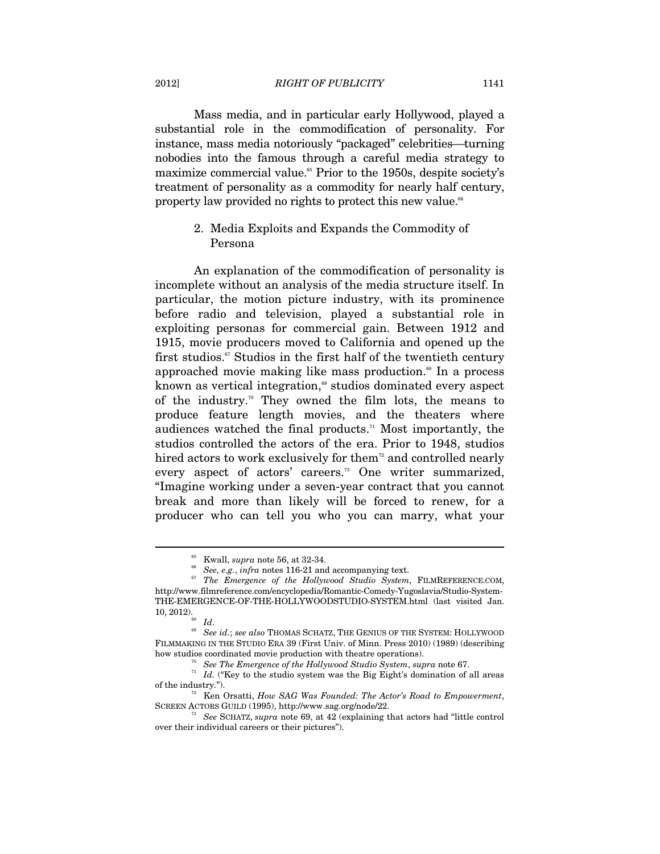Mass media, and in particular early Hollywood, played a substantial role in the commodification of personality. For instance, mass media notoriously "packaged" celebrities—turning nobodies into the famous through a careful media strategy to maximize commercial value.<sup>65</sup> Prior to the 1950s, despite society's treatment of personality as a commodity for nearly half century, property law provided no rights to protect this new value.<sup>66</sup>

# 2. Media Exploits and Expands the Commodity of Persona

An explanation of the commodification of personality is incomplete without an analysis of the media structure itself. In particular, the motion picture industry, with its prominence before radio and television, played a substantial role in exploiting personas for commercial gain. Between 1912 and 1915, movie producers moved to California and opened up the first studios.<sup>67</sup> Studios in the first half of the twentieth century approached movie making like mass production.<sup>68</sup> In a process known as vertical integration,<sup> $\omega$ </sup> studios dominated every aspect of the industry.<sup>70</sup> They owned the film lots, the means to produce feature length movies, and the theaters where audiences watched the final products.<sup> $n$ </sup> Most importantly, the studios controlled the actors of the era. Prior to 1948, studios hired actors to work exclusively for them<sup>72</sup> and controlled nearly every aspect of actors' careers.<sup>73</sup> One writer summarized, "Imagine working under a seven-year contract that you cannot break and more than likely will be forced to renew, for a producer who can tell you who you can marry, what your

<sup>&</sup>lt;sup>65</sup> Kwall, *supra* note 56, at 32-34.<br><sup>66</sup> See, e.g., *infra* notes 116-21 and accompanying text.<br><sup>67</sup> The Emergence of the Hollywood Studio System, FILMREFERENCE.COM, http://www.filmreference.com/encyclopedia/Romantic-Comedy-Yugoslavia/Studio-System-THE-EMERGENCE-OF-THE-HOLLYWOODSTUDIO-SYSTEM.html (last visited Jan. 10, 2012).<br><sup>68</sup> *Id. 69 See id.*; *see also* ThOMAS SCHATZ, THE GENIUS OF THE SYSTEM: HOLLYWOOD

FILMMAKING IN THE STUDIO ERA 39 (First Univ. of Minn. Press 2010) (1989) (describing how studios coordinated movie production with the<br>atre operations). See The Emergence of the Hollywood Studio System, supra note 67.<br> $\frac{n}{l}$  Id. ("Key to the studio system was the Big Eight's domination of all areas

of the industry.").<br><sup>72</sup> Ken Orsatti, *How SAG Was Founded: The Actor's Road to Empowerment*,<br>SCREEN ACTORS GUILD (1995), http://www.sag.org/node/22.

<sup>&</sup>lt;sup>73</sup> See SCHATZ, *supra* note 69, at 42 (explaining that actors had "little control over their individual careers or their pictures").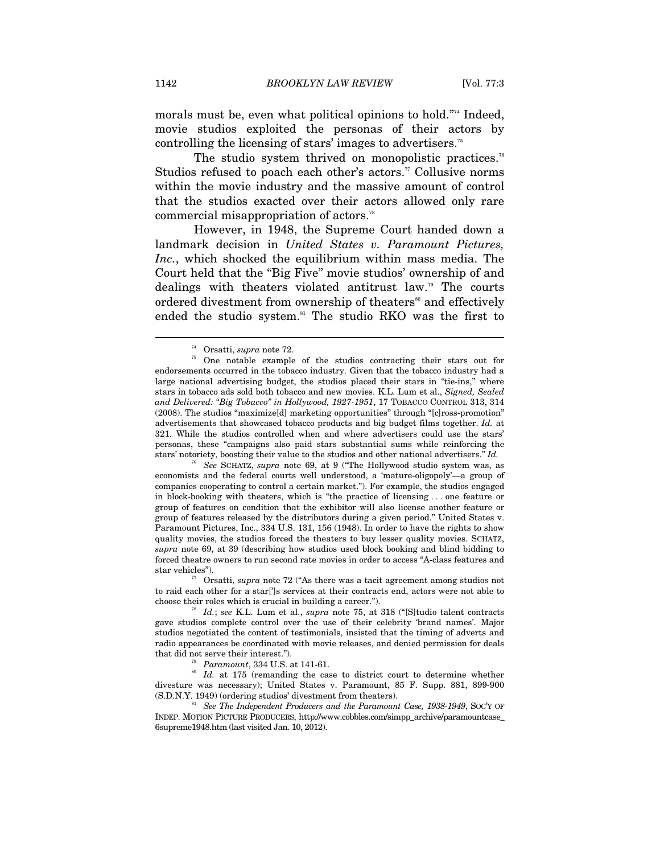morals must be, even what political opinions to hold."<sup>74</sup> Indeed, movie studios exploited the personas of their actors by controlling the licensing of stars' images to advertisers.75

The studio system thrived on monopolistic practices.<sup>76</sup> Studios refused to poach each other's actors.<sup>77</sup> Collusive norms within the movie industry and the massive amount of control that the studios exacted over their actors allowed only rare commercial misappropriation of actors.78

However, in 1948, the Supreme Court handed down a landmark decision in *United States v. Paramount Pictures, Inc.*, which shocked the equilibrium within mass media. The Court held that the "Big Five" movie studios' ownership of and dealings with theaters violated antitrust law.79 The courts ordered divestment from ownership of theaters<sup>80</sup> and effectively ended the studio system.<sup>81</sup> The studio RKO was the first to

to raid each other for a star[']s services at their contracts end, actors were not able to choose their roles which is crucial in building a career.").

that did not serve their interest.").<br><sup>79</sup> *Paramount*, 334 U.S. at 141-61.<br><sup>80</sup> *Id.* at 175 (remanding the case to district court to determine whether divesture was necessary); United States v. Paramount, 85 F. Supp. 881, 899-900 (S.D.N.Y. 1949) (ordering studios' divestment from theaters).

See The Independent Producers and the Paramount Case, 1938-1949, SOC'Y OF INDEP. MOTION PICTURE PRODUCERS, http://www.cobbles.com/simpp\_archive/paramountcase\_ 6supreme1948.htm (last visited Jan. 10, 2012).

<sup>&</sup>lt;sup>74</sup> Orsatti, *supra* note 72.<br><sup>75</sup> One notable example of the studios contracting their stars out for endorsements occurred in the tobacco industry. Given that the tobacco industry had a large national advertising budget, the studios placed their stars in "tie-ins," where stars in tobacco ads sold both tobacco and new movies. K.L. Lum et al., *Signed, Sealed and Delivered: "Big Tobacco" in Hollywood, 1927-1951*, 17 TOBACCO CONTROL 313, 314 (2008). The studios "maximize[d] marketing opportunities" through "[c]ross-promotion" advertisements that showcased tobacco products and big budget films together. *Id.* at 321. While the studios controlled when and where advertisers could use the stars' personas, these "campaigns also paid stars substantial sums while reinforcing the stars' notoriety, boosting their value to the studios and other national advertisers." *Id.*

<sup>76</sup> *See* SCHATZ, *supra* note 69, at 9 ("The Hollywood studio system was, as economists and the federal courts well understood, a 'mature-oligopoly'—a group of companies cooperating to control a certain market."). For example, the studios engaged in block-booking with theaters, which is "the practice of licensing . . . one feature or group of features on condition that the exhibitor will also license another feature or group of features released by the distributors during a given period." United States v. Paramount Pictures, Inc., 334 U.S. 131, 156 (1948). In order to have the rights to show quality movies, the studios forced the theaters to buy lesser quality movies. SCHATZ, *supra* note 69, at 39 (describing how studios used block booking and blind bidding to forced theatre owners to run second rate movies in order to access "A-class features and star vehicles"). 77 Orsatti, *supra* note 72 ("As there was a tacit agreement among studios not

<sup>&</sup>lt;sup>78</sup> Id.; see K.L. Lum et al., *supra* note 75, at 318 ("[S]tudio talent contracts gave studios complete control over the use of their celebrity 'brand names'. Major studios negotiated the content of testimonials, insisted that the timing of adverts and radio appearances be coordinated with movie releases, and denied permission for deals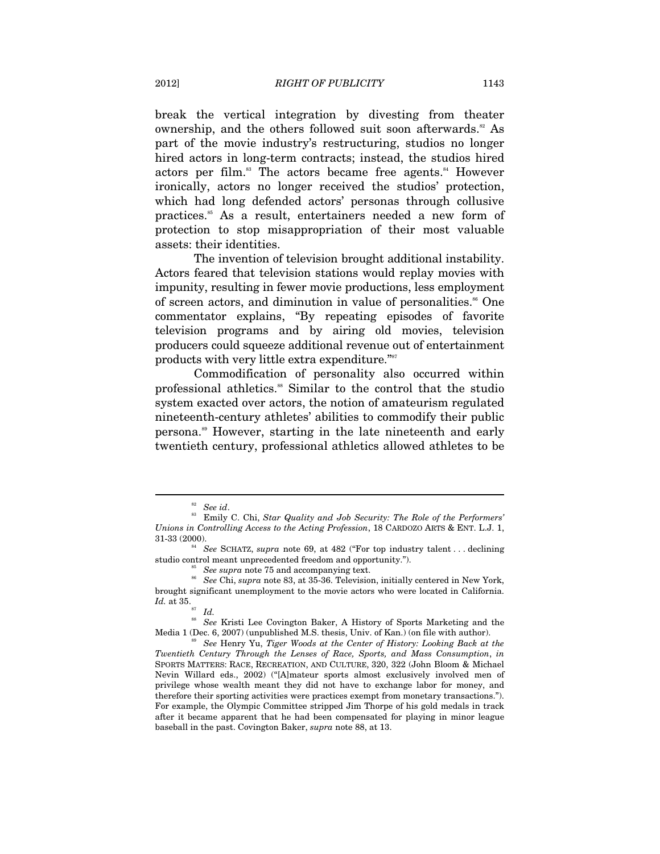break the vertical integration by divesting from theater ownership, and the others followed suit soon afterwards.<sup>82</sup> As part of the movie industry's restructuring, studios no longer hired actors in long-term contracts; instead, the studios hired actors per film.<sup>83</sup> The actors became free agents.<sup>84</sup> However ironically, actors no longer received the studios' protection, which had long defended actors' personas through collusive practices.<sup>85</sup> As a result, entertainers needed a new form of protection to stop misappropriation of their most valuable assets: their identities.

The invention of television brought additional instability. Actors feared that television stations would replay movies with impunity, resulting in fewer movie productions, less employment of screen actors, and diminution in value of personalities.<sup>86</sup> One commentator explains, "By repeating episodes of favorite television programs and by airing old movies, television producers could squeeze additional revenue out of entertainment products with very little extra expenditure."87

Commodification of personality also occurred within professional athletics.88 Similar to the control that the studio system exacted over actors, the notion of amateurism regulated nineteenth-century athletes' abilities to commodify their public persona.89 However, starting in the late nineteenth and early twentieth century, professional athletics allowed athletes to be

<sup>&</sup>lt;sup>82</sup> See id.<br><sup>83</sup> Emily C. Chi, *Star Quality and Job Security: The Role of the Performers' Unions in Controlling Access to the Acting Profession*, 18 CARDOZO ARTS & ENT. L.J. 1,

<sup>&</sup>lt;sup>4</sup> See SCHATZ, *supra* note 69, at 482 ("For top industry talent . . . declining studio control meant unprecedented freedom and opportunity.").<br><sup>86</sup> See supra note 75 and accompanying text.<br><sup>86</sup> See Chi, *supra* note 83, at 35-36. Television, initially centered in New York,

brought significant unemployment to the movie actors who were located in California.

*Id.* at 35. *Id.* 88 *See Kristi Lee Covington Baker, A History of Sports Marketing and the See Kristi Lee Covington Baker, A History of Sports Marketing and the* Media 1 (Dec. 6, 2007) (unpublished M.S. thesis, Univ. of Kan.) (on file with author).<br><sup>89</sup> See Henry Yu, *Tiger Woods at the Center of History: Looking Back at the* 

*Twentieth Century Through the Lenses of Race, Sports, and Mass Consumption*, *in*  SPORTS MATTERS: RACE, RECREATION, AND CULTURE, 320, 322 (John Bloom & Michael Nevin Willard eds., 2002) ("[A]mateur sports almost exclusively involved men of privilege whose wealth meant they did not have to exchange labor for money, and therefore their sporting activities were practices exempt from monetary transactions."). For example, the Olympic Committee stripped Jim Thorpe of his gold medals in track after it became apparent that he had been compensated for playing in minor league baseball in the past. Covington Baker, *supra* note 88, at 13.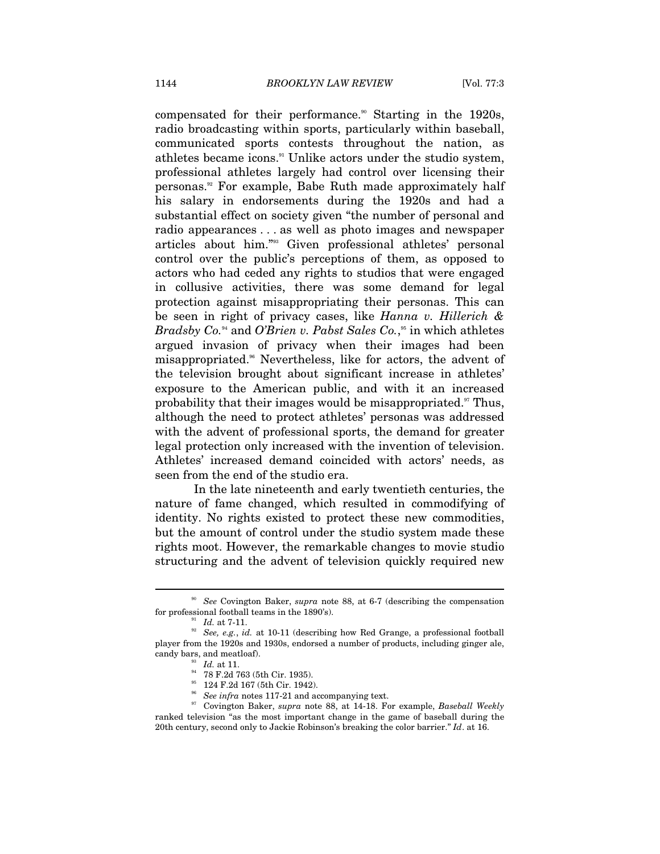compensated for their performance.<sup>90</sup> Starting in the 1920s, radio broadcasting within sports, particularly within baseball, communicated sports contests throughout the nation, as athletes became icons.91 Unlike actors under the studio system, professional athletes largely had control over licensing their personas.<sup>92</sup> For example, Babe Ruth made approximately half his salary in endorsements during the 1920s and had a substantial effect on society given "the number of personal and radio appearances . . . as well as photo images and newspaper articles about him."93 Given professional athletes' personal control over the public's perceptions of them, as opposed to actors who had ceded any rights to studios that were engaged in collusive activities, there was some demand for legal protection against misappropriating their personas. This can be seen in right of privacy cases, like *Hanna v. Hillerich & Bradsby Co.*94 and *O'Brien v. Pabst Sales Co.*, 95 in which athletes argued invasion of privacy when their images had been misappropriated.96 Nevertheless, like for actors, the advent of the television brought about significant increase in athletes' exposure to the American public, and with it an increased probability that their images would be misappropriated.<sup>97</sup> Thus, although the need to protect athletes' personas was addressed with the advent of professional sports, the demand for greater legal protection only increased with the invention of television. Athletes' increased demand coincided with actors' needs, as seen from the end of the studio era.

In the late nineteenth and early twentieth centuries, the nature of fame changed, which resulted in commodifying of identity. No rights existed to protect these new commodities, but the amount of control under the studio system made these rights moot. However, the remarkable changes to movie studio structuring and the advent of television quickly required new

<sup>90</sup> *See* Covington Baker, *supra* note 88, at 6-7 (describing the compensation for professional football teams in the 1890's).<br><sup>91</sup> *Id.* at 7-11.<br><sup>92</sup> *See, e.g., id.* at 10-11 (describing how Red Grange, a professional football

player from the 1920s and 1930s, endorsed a number of products, including ginger ale, % candy bars, and meatloaf).  $^{^{53}}$   $^{Id.}$  at 11.  $^{^{54}}$  78 F.2d 763 (5th Cir. 1935).

<sup>&</sup>lt;sup>95</sup> 124 F.2d 167 (5th Cir. 1942).<br><sup>96</sup> *See infra* notes 117-21 and accompanying text.

<sup>&</sup>lt;sup>97</sup> Covington Baker, *supra* note 88, at 14-18. For example, *Baseball Weekly* ranked television "as the most important change in the game of baseball during the 20th century, second only to Jackie Robinson's breaking the color barrier." *Id*. at 16.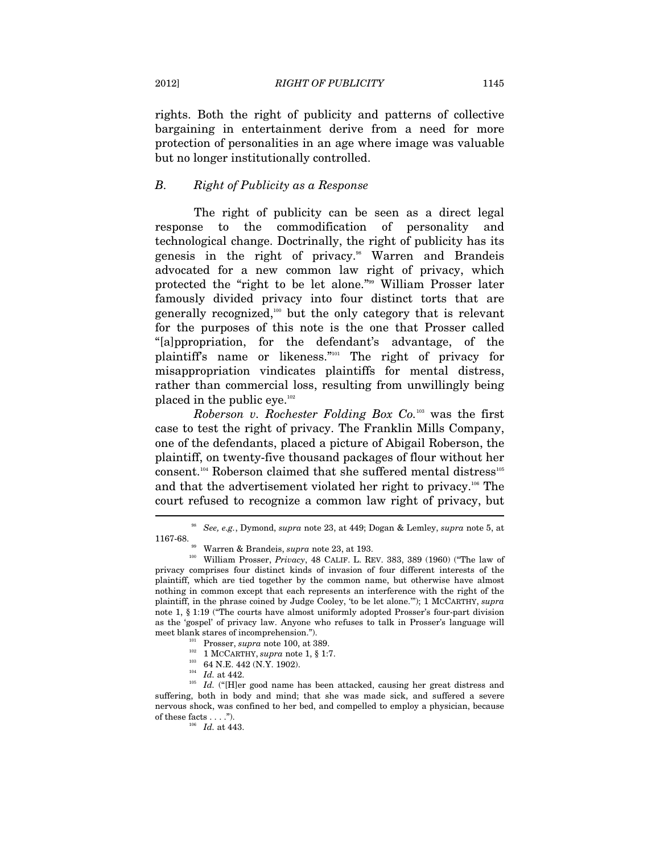rights. Both the right of publicity and patterns of collective bargaining in entertainment derive from a need for more protection of personalities in an age where image was valuable but no longer institutionally controlled.

#### *B. Right of Publicity as a Response*

The right of publicity can be seen as a direct legal response to the commodification of personality and technological change. Doctrinally, the right of publicity has its genesis in the right of privacy.<sup>98</sup> Warren and Brandeis advocated for a new common law right of privacy, which protected the "right to be let alone."99 William Prosser later famously divided privacy into four distinct torts that are generally recognized, $100$  but the only category that is relevant for the purposes of this note is the one that Prosser called "[a]ppropriation, for the defendant's advantage, of the plaintiff's name or likeness."101 The right of privacy for misappropriation vindicates plaintiffs for mental distress, rather than commercial loss, resulting from unwillingly being placed in the public eye. $102$ 

*Roberson v. Rochester Folding Box Co.*103 was the first case to test the right of privacy. The Franklin Mills Company, one of the defendants, placed a picture of Abigail Roberson, the plaintiff, on twenty-five thousand packages of flour without her consent.<sup>104</sup> Roberson claimed that she suffered mental distress<sup>105</sup> and that the advertisement violated her right to privacy.<sup>106</sup> The court refused to recognize a common law right of privacy, but

<sup>98</sup> *See, e.g.*, Dymond, *supra* note 23, at 449; Dogan & Lemley, *supra* note 5, at 1167-68. 99 Warren & Brandeis, *supra* note 23, at 193.

<sup>100</sup> William Prosser, *Privacy*, 48 CALIF. L. REV. 383, 389 (1960) ("The law of privacy comprises four distinct kinds of invasion of four different interests of the plaintiff, which are tied together by the common name, but otherwise have almost nothing in common except that each represents an interference with the right of the plaintiff, in the phrase coined by Judge Cooley, 'to be let alone.'"); 1 MCCARTHY, *supra*  note 1, § 1:19 ("The courts have almost uniformly adopted Prosser's four-part division as the 'gospel' of privacy law. Anyone who refuses to talk in Prosser's language will

meet blank stares of incomprehension.").<br>
<sup>101</sup> Prosser, *supra* note 100, at 389.<br>
<sup>102</sup> 1 MCCARTHY, *supra* note 1, § 1:7.<br>
<sup>103</sup> 64 N.E. 442 (N.Y. 1902).<br>
<sup>104</sup> *Id.* at 442.<br>
<sup>104</sup> *Id.* ("[H]er good name has been att suffering, both in body and mind; that she was made sick, and suffered a severe nervous shock, was confined to her bed, and compelled to employ a physician, because of these facts . . . ."). 106 *Id.* at 443.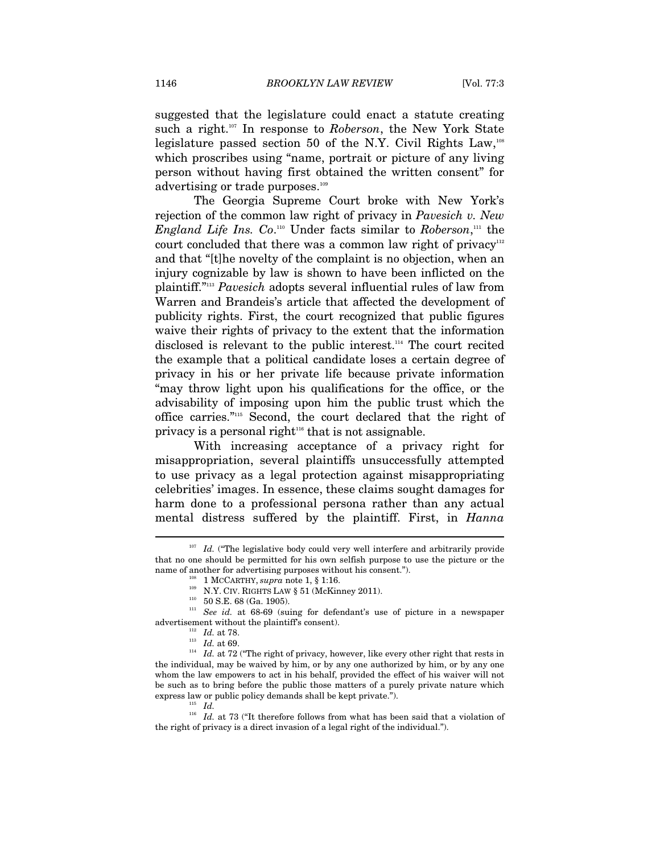suggested that the legislature could enact a statute creating such a right.107 In response to *Roberson*, the New York State legislature passed section 50 of the N.Y. Civil Rights Law, $108$ which proscribes using "name, portrait or picture of any living person without having first obtained the written consent" for advertising or trade purposes.<sup>109</sup>

The Georgia Supreme Court broke with New York's rejection of the common law right of privacy in *Pavesich v. New England Life Ins.* Co.<sup>110</sup> Under facts similar to *Roberson*,<sup>111</sup> the court concluded that there was a common law right of privacy<sup>112</sup> and that "[t]he novelty of the complaint is no objection, when an injury cognizable by law is shown to have been inflicted on the plaintiff."113 *Pavesich* adopts several influential rules of law from Warren and Brandeis's article that affected the development of publicity rights. First, the court recognized that public figures waive their rights of privacy to the extent that the information disclosed is relevant to the public interest.114 The court recited the example that a political candidate loses a certain degree of privacy in his or her private life because private information "may throw light upon his qualifications for the office, or the advisability of imposing upon him the public trust which the office carries."115 Second, the court declared that the right of privacy is a personal right $116$  that is not assignable.

With increasing acceptance of a privacy right for misappropriation, several plaintiffs unsuccessfully attempted to use privacy as a legal protection against misappropriating celebrities' images. In essence, these claims sought damages for harm done to a professional persona rather than any actual mental distress suffered by the plaintiff. First, in *Hanna* 

Id. ("The legislative body could very well interfere and arbitrarily provide that no one should be permitted for his own selfish purpose to use the picture or the name of another for advertising purposes without his consent.").

<sup>&</sup>lt;sup>108</sup> 1 MCCARTHY, *supra* note 1, § 1:16.<br><sup>109</sup> N.Y. CIV. RIGHTS LAW § 51 (McKinney 2011).<br><sup>110</sup> 50 S.E. 68 (Ga. 1905).<br><sup>111</sup> *See id.* at 68-69 (suing for defendant's use of picture in a newspaper advertisement without t

<sup>&</sup>lt;sup>112</sup> Id. at 69. <sup>113</sup> Id. at 69. <sup>113</sup> Id. at 69. <sup>114</sup> Id. at 72 ("The right of privacy, however, like every other right that rests in the individual, may be waived by him, or by any one authorized by him, or by any one whom the law empowers to act in his behalf, provided the effect of his waiver will not be such as to bring before the public those matters of a purely private nature which express law or public policy demands shall be kept private."). 115 *Id.*

<sup>&</sup>lt;sup>116</sup> Id. at 73 ("It therefore follows from what has been said that a violation of the right of privacy is a direct invasion of a legal right of the individual.").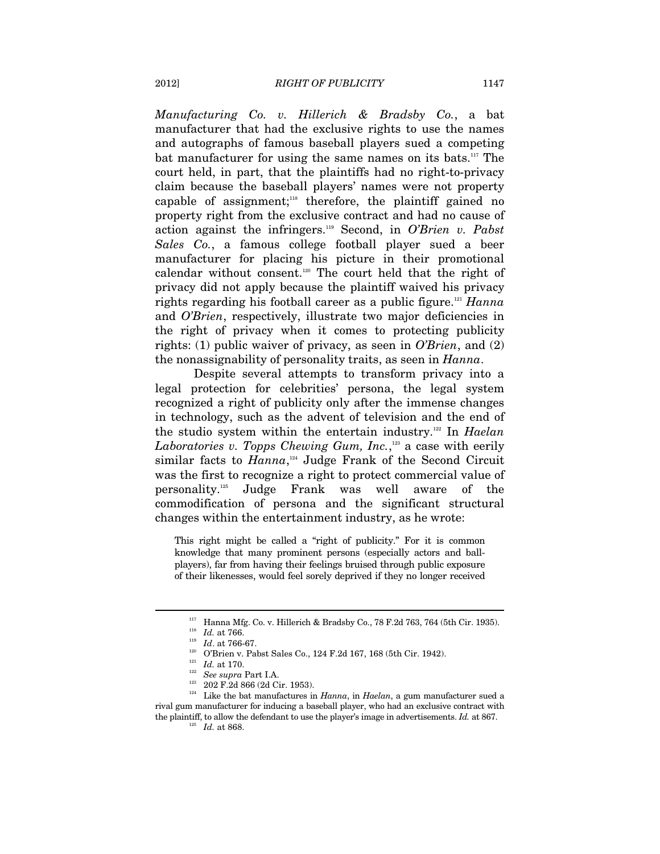*Manufacturing Co. v. Hillerich & Bradsby Co.*, a bat manufacturer that had the exclusive rights to use the names and autographs of famous baseball players sued a competing bat manufacturer for using the same names on its bats.<sup>117</sup> The court held, in part, that the plaintiffs had no right-to-privacy claim because the baseball players' names were not property capable of assignment; $118}$  therefore, the plaintiff gained no property right from the exclusive contract and had no cause of action against the infringers.119 Second, in *O'Brien v. Pabst Sales Co.*, a famous college football player sued a beer manufacturer for placing his picture in their promotional calendar without consent.120 The court held that the right of privacy did not apply because the plaintiff waived his privacy rights regarding his football career as a public figure.121 *Hanna*  and *O'Brien*, respectively, illustrate two major deficiencies in the right of privacy when it comes to protecting publicity rights: (1) public waiver of privacy, as seen in *O'Brien*, and (2) the nonassignability of personality traits, as seen in *Hanna*.

Despite several attempts to transform privacy into a legal protection for celebrities' persona, the legal system recognized a right of publicity only after the immense changes in technology, such as the advent of television and the end of the studio system within the entertain industry.122 In *Haelan*  Laboratories v. Topps Chewing Gum, Inc.,<sup>123</sup> a case with eerily similar facts to *Hanna*, 124 Judge Frank of the Second Circuit was the first to recognize a right to protect commercial value of personality.125 Judge Frank was well aware of the commodification of persona and the significant structural changes within the entertainment industry, as he wrote:

This right might be called a "right of publicity." For it is common knowledge that many prominent persons (especially actors and ballplayers), far from having their feelings bruised through public exposure of their likenesses, would feel sorely deprived if they no longer received

<sup>&</sup>lt;sup>117</sup> Hanna Mfg. Co. v. Hillerich & Bradsby Co., 78 F.2d 763, 764 (5th Cir. 1935).<br><sup>118</sup> *Id.* at 766.<br><sup>119</sup> *Id.* at 766-67.<br><sup>120</sup> O'Brien v. Pabst Sales Co., 124 F.2d 167, 168 (5th Cir. 1942).<br><sup>121</sup> *Id.* at 170.<br><sup>121</sup>

rival gum manufacturer for inducing a baseball player, who had an exclusive contract with the plaintiff, to allow the defendant to use the player's image in advertisements. *Id.* at 867.  $Id$ . at 868.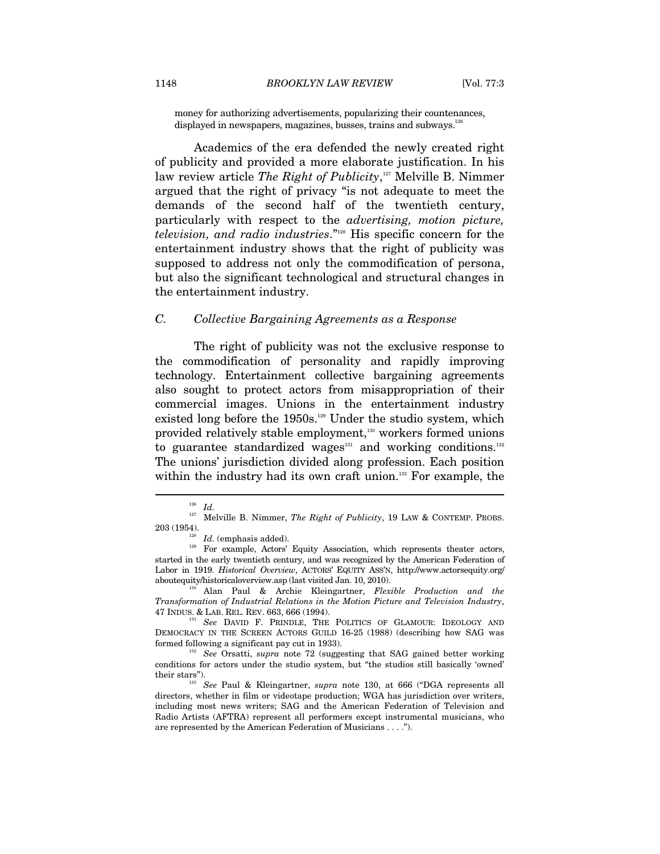money for authorizing advertisements, popularizing their countenances, displayed in newspapers, magazines, busses, trains and subways.<sup>126</sup>

Academics of the era defended the newly created right of publicity and provided a more elaborate justification. In his law review article *The Right of Publicity*,<sup>127</sup> Melville B. Nimmer argued that the right of privacy "is not adequate to meet the demands of the second half of the twentieth century, particularly with respect to the *advertising, motion picture, television, and radio industries*."128 His specific concern for the entertainment industry shows that the right of publicity was supposed to address not only the commodification of persona, but also the significant technological and structural changes in the entertainment industry.

#### *C. Collective Bargaining Agreements as a Response*

The right of publicity was not the exclusive response to the commodification of personality and rapidly improving technology. Entertainment collective bargaining agreements also sought to protect actors from misappropriation of their commercial images. Unions in the entertainment industry existed long before the  $1950s$ .<sup>129</sup> Under the studio system, which provided relatively stable employment,<sup>130</sup> workers formed unions to guarantee standardized wages $131$  and working conditions.<sup>132</sup> The unions' jurisdiction divided along profession. Each position within the industry had its own craft union.<sup>133</sup> For example, the

 $\overline{a}$ 

*Transformation of Industrial Relations in the Motion Picture and Television Industry*,

47 INDUS. & LAB. REL. REV. 663, 666 (1994). 131 *See* DAVID F. PRINDLE, THE POLITICS OF GLAMOUR: IDEOLOGY AND DEMOCRACY IN THE SCREEN ACTORS GUILD 16-25 (1988) (describing how SAG was formed following a significant pay cut in 1933). 132 *See* Orsatti, *supra* note 72 (suggesting that SAG gained better working

conditions for actors under the studio system, but "the studios still basically 'owned' their stars"). 133 *See* Paul & Kleingartner, *supra* note 130, at 666 ("DGA represents all

directors, whether in film or videotape production; WGA has jurisdiction over writers, including most news writers; SAG and the American Federation of Television and Radio Artists (AFTRA) represent all performers except instrumental musicians, who are represented by the American Federation of Musicians . . . .").

<sup>126</sup> *Id.*

<sup>&</sup>lt;sup>127</sup> Melville B. Nimmer, *The Right of Publicity*, 19 LAW & CONTEMP. PROBS. 203 (1954).

<sup>&</sup>lt;sup>128</sup>  $Id$ . (emphasis added). **129** For example, Actors' Equity Association, which represents theater actors, started in the early twentieth century, and was recognized by the American Federation of Labor in 1919. *Historical Overview*, ACTORS' EQUITY ASS'N, http://www.actorsequity.org/ aboutequity/historicaloverview.asp (last visited Jan. 10, 2010). 130 Alan Paul & Archie Kleingartner, *Flexible Production and the*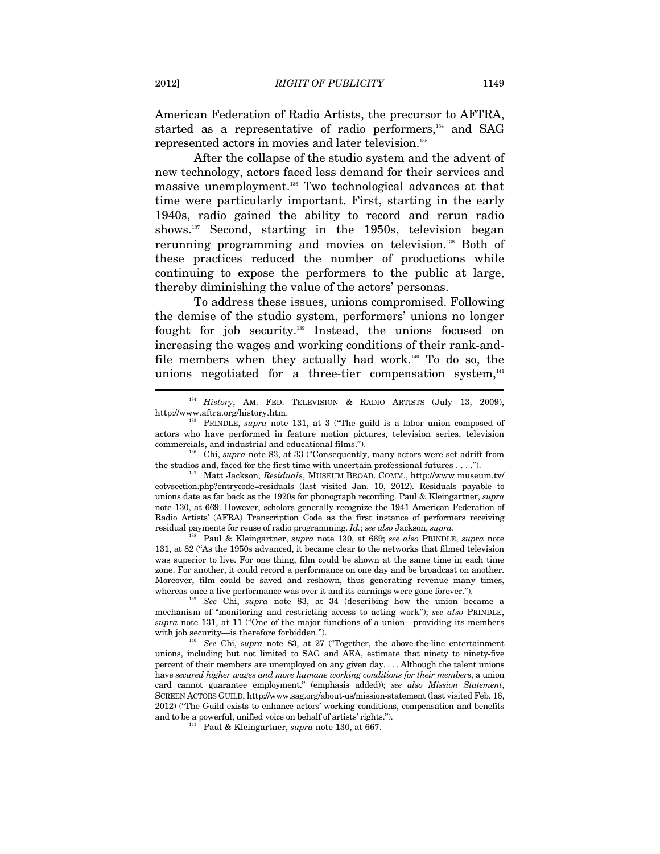American Federation of Radio Artists, the precursor to AFTRA, started as a representative of radio performers,<sup>134</sup> and SAG represented actors in movies and later television.135

After the collapse of the studio system and the advent of new technology, actors faced less demand for their services and massive unemployment.136 Two technological advances at that time were particularly important. First, starting in the early 1940s, radio gained the ability to record and rerun radio shows.137 Second, starting in the 1950s, television began rerunning programming and movies on television.<sup>138</sup> Both of these practices reduced the number of productions while continuing to expose the performers to the public at large, thereby diminishing the value of the actors' personas.

To address these issues, unions compromised. Following the demise of the studio system, performers' unions no longer fought for job security.139 Instead, the unions focused on increasing the wages and working conditions of their rank-andfile members when they actually had work.<sup>140</sup> To do so, the unions negotiated for a three-tier compensation system, $141$  $\overline{a}$ 

the studios and, faced for the first time with uncertain professional futures . . . ."). 137 Matt Jackson, *Residuals*, MUSEUM BROAD. COMM., http://www.museum.tv/

eotvsection.php?entrycode=residuals (last visited Jan. 10, 2012). Residuals payable to unions date as far back as the 1920s for phonograph recording. Paul & Kleingartner, *supra* note 130, at 669. However, scholars generally recognize the 1941 American Federation of Radio Artists' (AFRA) Transcription Code as the first instance of performers receiving residual payments for reuse of radio programming. *Id.*; *see also* Jackson, *supra*. 138 Paul & Kleingartner, *supra* note 130, at 669; *see also* PRINDLE, *supra* note

131, at 82 ("As the 1950s advanced, it became clear to the networks that filmed television was superior to live. For one thing, film could be shown at the same time in each time zone. For another, it could record a performance on one day and be broadcast on another. Moreover, film could be saved and reshown, thus generating revenue many times, whereas once a live performance was over it and its earnings were gone forever."). 139 *See* Chi, *supra* note 83, at 34 (describing how the union became a

mechanism of "monitoring and restricting access to acting work"); *see also* PRINDLE, *supra* note 131, at 11 ("One of the major functions of a union—providing its members with job security—is therefore forbidden.").<br><sup>140</sup> See Chi, *supra* note 83, at 27 ("Together, the above-the-line entertainment

unions, including but not limited to SAG and AEA, estimate that ninety to ninety-five percent of their members are unemployed on any given day. . . . Although the talent unions have *secured higher wages and more humane working conditions for their members*, a union card cannot guarantee employment." (emphasis added)); *see also Mission Statement*, SCREEN ACTORS GUILD, http://www.sag.org/about-us/mission-statement (last visited Feb. 16, 2012) ("The Guild exists to enhance actors' working conditions, compensation and benefits and to be a powerful, unified voice on behalf of artists' rights."). 141 Paul & Kleingartner, *supra* note 130, at 667.

<sup>&</sup>lt;sup>134</sup> History, AM. FED. TELEVISION & RADIO ARTISTS (July 13, 2009), http://www.aftra.org/history.htm. 135 PRINDLE, *supra* note 131, at 3 ("The guild is a labor union composed of

actors who have performed in feature motion pictures, television series, television commercials, and industrial and educational films."). 136 Chi, *supra* note 83, at 33 ("Consequently, many actors were set adrift from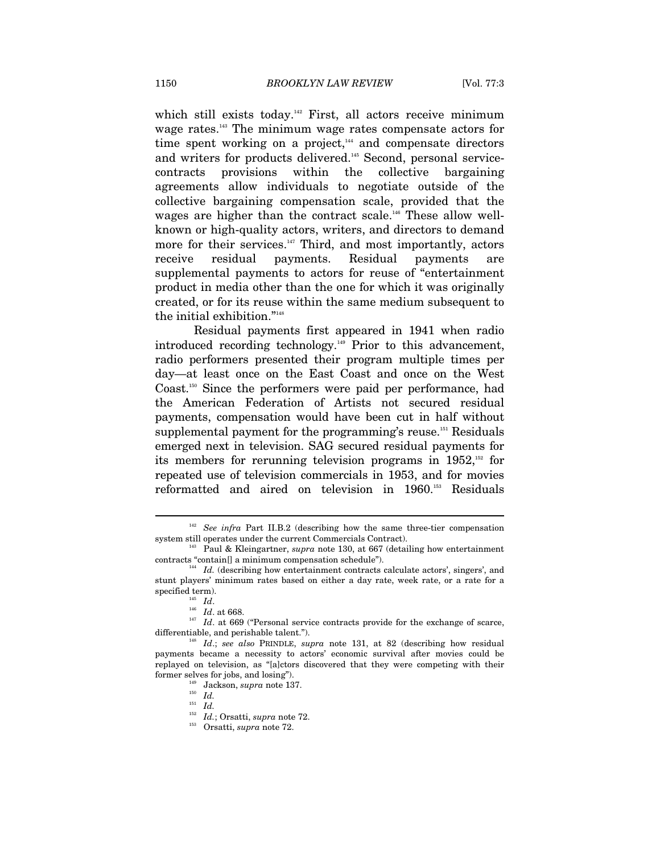which still exists today.<sup>142</sup> First, all actors receive minimum wage rates.143 The minimum wage rates compensate actors for time spent working on a project, $144$  and compensate directors and writers for products delivered.<sup>145</sup> Second, personal servicecontracts provisions within the collective bargaining agreements allow individuals to negotiate outside of the collective bargaining compensation scale, provided that the wages are higher than the contract scale.<sup>146</sup> These allow wellknown or high-quality actors, writers, and directors to demand more for their services.<sup>147</sup> Third, and most importantly, actors receive residual payments. Residual payments are supplemental payments to actors for reuse of "entertainment product in media other than the one for which it was originally created, or for its reuse within the same medium subsequent to the initial exhibition."148

Residual payments first appeared in 1941 when radio introduced recording technology.<sup>149</sup> Prior to this advancement, radio performers presented their program multiple times per day—at least once on the East Coast and once on the West Coast.150 Since the performers were paid per performance, had the American Federation of Artists not secured residual payments, compensation would have been cut in half without supplemental payment for the programming's reuse.<sup>151</sup> Residuals emerged next in television. SAG secured residual payments for its members for rerunning television programs in 1952,152 for repeated use of television commercials in 1953, and for movies reformatted and aired on television in 1960.153 Residuals

<sup>&</sup>lt;sup>142</sup> *See infra Part II.B.2* (describing how the same three-tier compensation system still operates under the current Commercials Contract).

<sup>&</sup>lt;sup>43</sup> Paul & Kleingartner, *supra* note 130, at 667 (detailing how entertainment contracts "contain[] a minimum compensation schedule"). 144 *Id.* (describing how entertainment contracts calculate actors', singers', and

stunt players' minimum rates based on either a day rate, week rate, or a rate for a

specified term).<br><sup>145</sup> *Id*. at 668.<br><sup>147</sup> *Id*. at 669 ("Personal service contracts provide for the exchange of scarce,<br>differentiable, and perishable talent.").

 $d_i^{\text{48}}$  *Id.*; *see also* PRINDLE, *supra* note 131, at 82 (describing how residual payments became a necessity to actors' economic survival after movies could be replayed on television, as "[a]ctors discovered that they were competing with their former selves for jobs, and losing").

former selves for jobs, and losing"). 149 Jackson, *supra* note 137. 150 *Id.* 

 $\overline{1}$ <sup>151</sup> *Id.* 

<sup>152</sup> *Id.*; Orsatti, *supra* note 72. 153 Orsatti, *supra* note 72.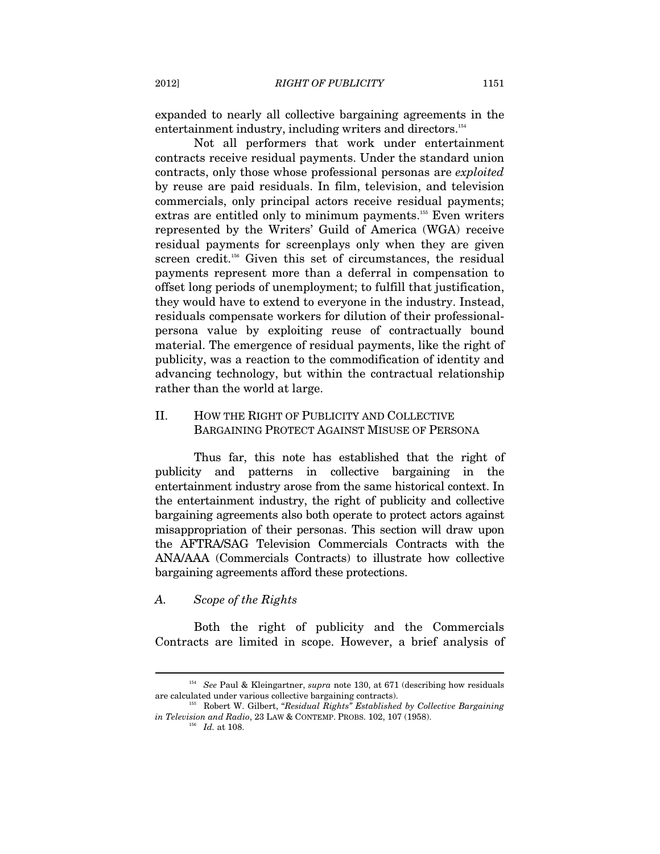expanded to nearly all collective bargaining agreements in the entertainment industry, including writers and directors.<sup>154</sup>

Not all performers that work under entertainment contracts receive residual payments. Under the standard union contracts, only those whose professional personas are *exploited* by reuse are paid residuals. In film, television, and television commercials, only principal actors receive residual payments; extras are entitled only to minimum payments.155 Even writers represented by the Writers' Guild of America (WGA) receive residual payments for screenplays only when they are given screen credit.<sup>156</sup> Given this set of circumstances, the residual payments represent more than a deferral in compensation to offset long periods of unemployment; to fulfill that justification, they would have to extend to everyone in the industry. Instead, residuals compensate workers for dilution of their professionalpersona value by exploiting reuse of contractually bound material. The emergence of residual payments, like the right of publicity, was a reaction to the commodification of identity and advancing technology, but within the contractual relationship rather than the world at large.

# II. HOW THE RIGHT OF PUBLICITY AND COLLECTIVE BARGAINING PROTECT AGAINST MISUSE OF PERSONA

Thus far, this note has established that the right of publicity and patterns in collective bargaining in the entertainment industry arose from the same historical context. In the entertainment industry, the right of publicity and collective bargaining agreements also both operate to protect actors against misappropriation of their personas. This section will draw upon the AFTRA/SAG Television Commercials Contracts with the ANA/AAA (Commercials Contracts) to illustrate how collective bargaining agreements afford these protections.

#### *A. Scope of the Rights*

Both the right of publicity and the Commercials Contracts are limited in scope. However, a brief analysis of

<sup>&</sup>lt;sup>154</sup> See Paul & Kleingartner, *supra* note 130, at 671 (describing how residuals are calculated under various collective bargaining contracts).

Robert W. Gilbert, "*Residual Rights*" Established by Collective Bargaining *in Television and Radio*, 23 LAW & CONTEMP. PROBS. 102, 107 (1958).

<sup>156</sup> *Id.* at 108.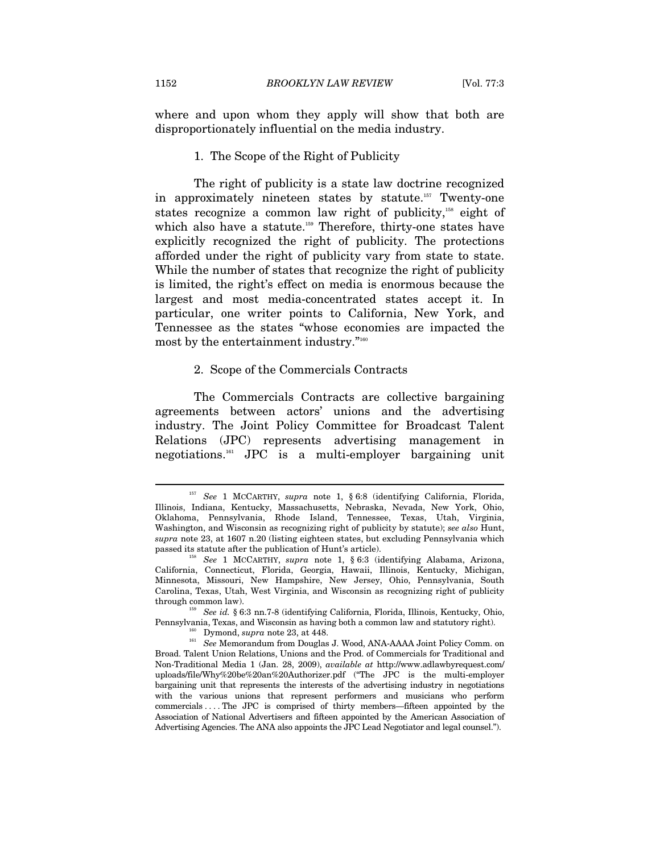where and upon whom they apply will show that both are disproportionately influential on the media industry.

#### 1. The Scope of the Right of Publicity

The right of publicity is a state law doctrine recognized in approximately nineteen states by statute.<sup>157</sup> Twenty-one states recognize a common law right of publicity,<sup>158</sup> eight of which also have a statute.<sup>159</sup> Therefore, thirty-one states have explicitly recognized the right of publicity. The protections afforded under the right of publicity vary from state to state. While the number of states that recognize the right of publicity is limited, the right's effect on media is enormous because the largest and most media-concentrated states accept it. In particular, one writer points to California, New York, and Tennessee as the states "whose economies are impacted the most by the entertainment industry."160

#### 2. Scope of the Commercials Contracts

The Commercials Contracts are collective bargaining agreements between actors' unions and the advertising industry. The Joint Policy Committee for Broadcast Talent Relations (JPC) represents advertising management in negotiations.161 JPC is a multi-employer bargaining unit

<sup>157</sup> *See* 1 MCCARTHY, *supra* note 1, § 6:8 (identifying California, Florida, Illinois, Indiana, Kentucky, Massachusetts, Nebraska, Nevada, New York, Ohio, Oklahoma, Pennsylvania, Rhode Island, Tennessee, Texas, Utah, Virginia, Washington, and Wisconsin as recognizing right of publicity by statute); *see also* Hunt, *supra* note 23, at 1607 n.20 (listing eighteen states, but excluding Pennsylvania which passed its statute after the publication of Hunt's article). 158 *See* 1 MCCARTHY, *supra* note 1, § 6:3 (identifying Alabama, Arizona,

California, Connecticut, Florida, Georgia, Hawaii, Illinois, Kentucky, Michigan, Minnesota, Missouri, New Hampshire, New Jersey, Ohio, Pennsylvania, South Carolina, Texas, Utah, West Virginia, and Wisconsin as recognizing right of publicity

<sup>&</sup>lt;sup>159</sup> See id. § 6:3 nn.7-8 (identifying California, Florida, Illinois, Kentucky, Ohio, Pennsylvania, Texas, and Wisconsin as having both a common law and statutory right). 160 Dymond, *supra* note 23, at 448. 161 *See* Memorandum from Douglas J. Wood, ANA-AAAA Joint Policy Comm. on

Broad. Talent Union Relations, Unions and the Prod. of Commercials for Traditional and Non-Traditional Media 1 (Jan. 28, 2009), *available at* http://www.adlawbyrequest.com/ uploads/file/Why%20be%20an%20Authorizer.pdf ("The JPC is the multi-employer bargaining unit that represents the interests of the advertising industry in negotiations with the various unions that represent performers and musicians who perform commercials . . . . The JPC is comprised of thirty members—fifteen appointed by the Association of National Advertisers and fifteen appointed by the American Association of Advertising Agencies. The ANA also appoints the JPC Lead Negotiator and legal counsel.").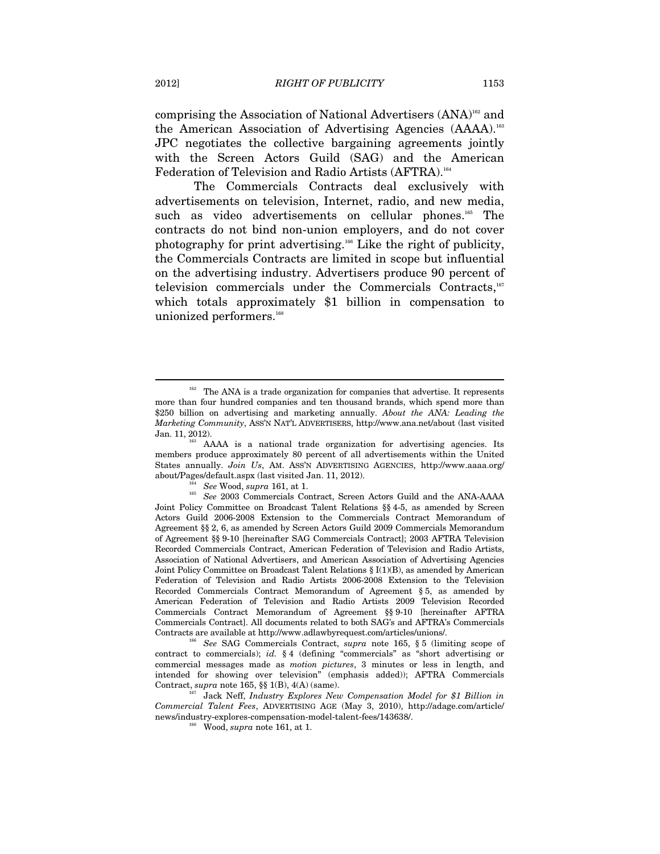comprising the Association of National Advertisers (ANA)162 and the American Association of Advertising Agencies (AAAA).163 JPC negotiates the collective bargaining agreements jointly with the Screen Actors Guild (SAG) and the American Federation of Television and Radio Artists (AFTRA).<sup>164</sup>

The Commercials Contracts deal exclusively with advertisements on television, Internet, radio, and new media, such as video advertisements on cellular phones.<sup>165</sup> The contracts do not bind non-union employers, and do not cover photography for print advertising.<sup>166</sup> Like the right of publicity, the Commercials Contracts are limited in scope but influential on the advertising industry. Advertisers produce 90 percent of television commercials under the Commercials Contracts,167 which totals approximately \$1 billion in compensation to unionized performers.<sup>168</sup>

contract to commercials); *id.* § 4 (defining "commercials" as "short advertising or commercial messages made as *motion pictures*, 3 minutes or less in length, and intended for showing over television" (emphasis added)); AFTRA Commercials Contract, *supra* note 165, §§ 1(B), 4(A) (same).

167 Jack Neff, *Industry Explores New Compensation Model for \$1 Billion in Commercial Talent Fees*, ADVERTISING AGE (May 3, 2010), http://adage.com/article/ news/industry-explores-compensation-model-talent-fees/143638/. 168 Wood, *supra* note 161, at 1.

<sup>&</sup>lt;sup>162</sup> The ANA is a trade organization for companies that advertise. It represents more than four hundred companies and ten thousand brands, which spend more than \$250 billion on advertising and marketing annually. *About the ANA: Leading the Marketing Community*, ASS'N NAT'L ADVERTISERS, http://www.ana.net/about (last visited

<sup>&</sup>lt;sup>33</sup> AAAA is a national trade organization for advertising agencies. Its members produce approximately 80 percent of all advertisements within the United States annually. *Join Us*, AM. ASS'N ADVERTISING AGENCIES, http://www.aaaa.org/

about/Pages/default.aspx (last visited Jan. 11, 2012). <sup>164</sup> See Wood, *supra* 161, at 1. <sup>165</sup> See 2003 Commercials Contract, Screen Actors Guild and the ANA-AAAA Joint Policy Committee on Broadcast Talent Relations §§ 4-5, as amended by Screen Actors Guild 2006-2008 Extension to the Commercials Contract Memorandum of Agreement §§ 2, 6, as amended by Screen Actors Guild 2009 Commercials Memorandum of Agreement §§ 9-10 [hereinafter SAG Commercials Contract]; 2003 AFTRA Television Recorded Commercials Contract, American Federation of Television and Radio Artists, Association of National Advertisers, and American Association of Advertising Agencies Joint Policy Committee on Broadcast Talent Relations § I(1)(B), as amended by American Federation of Television and Radio Artists 2006-2008 Extension to the Television Recorded Commercials Contract Memorandum of Agreement § 5, as amended by American Federation of Television and Radio Artists 2009 Television Recorded Commercials Contract Memorandum of Agreement §§ 9-10 [hereinafter AFTRA Commercials Contract]. All documents related to both SAG's and AFTRA's Commercials Contracts are available at http://www.adlawbyrequest.com/articles/unions/. 166 *See* SAG Commercials Contract, *supra* note 165, § 5 (limiting scope of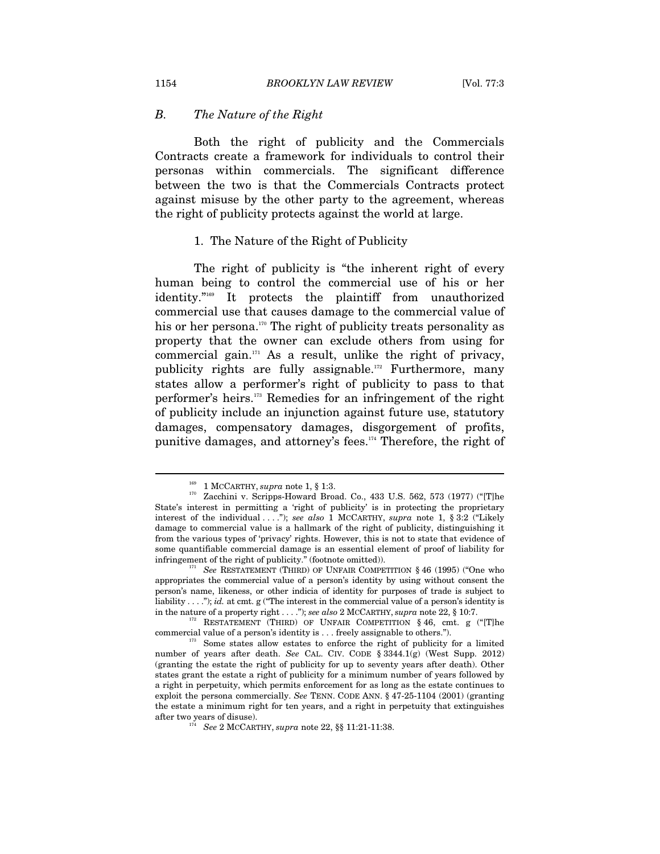### *B. The Nature of the Right*

Both the right of publicity and the Commercials Contracts create a framework for individuals to control their personas within commercials. The significant difference between the two is that the Commercials Contracts protect against misuse by the other party to the agreement, whereas the right of publicity protects against the world at large.

#### 1. The Nature of the Right of Publicity

The right of publicity is "the inherent right of every human being to control the commercial use of his or her identity."169 It protects the plaintiff from unauthorized commercial use that causes damage to the commercial value of his or her persona.<sup>170</sup> The right of publicity treats personality as property that the owner can exclude others from using for commercial gain. $171}$  As a result, unlike the right of privacy, publicity rights are fully assignable.172 Furthermore, many states allow a performer's right of publicity to pass to that performer's heirs.173 Remedies for an infringement of the right of publicity include an injunction against future use, statutory damages, compensatory damages, disgorgement of profits, punitive damages, and attorney's fees.174 Therefore, the right of

<sup>&</sup>lt;sup>169</sup> 1 MCCARTHY, *supra* note 1, § 1:3.<br><sup>170</sup> Zacchini v. Scripps-Howard Broad. Co., 433 U.S. 562, 573 (1977) ("[T]he State's interest in permitting a 'right of publicity' is in protecting the proprietary interest of the individual . . . ."); *see also* 1 MCCARTHY, *supra* note 1, § 3:2 ("Likely damage to commercial value is a hallmark of the right of publicity, distinguishing it from the various types of 'privacy' rights. However, this is not to state that evidence of some quantifiable commercial damage is an essential element of proof of liability for infringement of the right of publicity." (footnote omitted)). 171 *See* RESTATEMENT (THIRD) OF UNFAIR COMPETITION § 46 (1995) ("One who

appropriates the commercial value of a person's identity by using without consent the person's name, likeness, or other indicia of identity for purposes of trade is subject to liability . . . ."); *id.* at cmt. g ("The interest in the commercial value of a person's identity is

in the nature of a property right . . . ."); *see also* 2 MCCARTHY, *supra* note 22, § 10:7.<br><sup>172</sup> RESTATEMENT (THIRD) OF UNFAIR COMPETITION § 46, cmt. g ("[T]he commercial value of a person's identity is . . . freely assignable to others.").<br>
Some states allow estates to enforce the right of publicity for a limited

number of years after death. *See* CAL. CIV. CODE § 3344.1(g) (West Supp. 2012) (granting the estate the right of publicity for up to seventy years after death). Other states grant the estate a right of publicity for a minimum number of years followed by a right in perpetuity, which permits enforcement for as long as the estate continues to exploit the persona commercially. *See* TENN. CODE ANN. § 47-25-1104 (2001) (granting the estate a minimum right for ten years, and a right in perpetuity that extinguishes after two years of disuse). 174 *See* 2 MCCARTHY, *supra* note 22, §§ 11:21-11:38.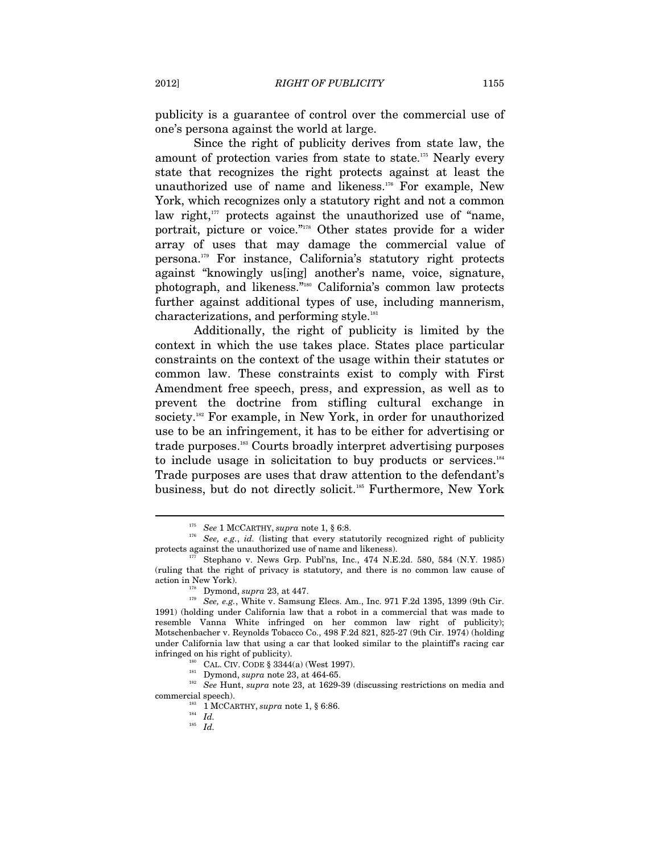publicity is a guarantee of control over the commercial use of one's persona against the world at large.

Since the right of publicity derives from state law, the amount of protection varies from state to state.<sup>175</sup> Nearly every state that recognizes the right protects against at least the unauthorized use of name and likeness.<sup>176</sup> For example, New York, which recognizes only a statutory right and not a common law right, $177$  protects against the unauthorized use of "name, portrait, picture or voice."178 Other states provide for a wider array of uses that may damage the commercial value of persona.179 For instance, California's statutory right protects against "knowingly us[ing] another's name, voice, signature, photograph, and likeness."180 California's common law protects further against additional types of use, including mannerism, characterizations, and performing style.181

Additionally, the right of publicity is limited by the context in which the use takes place. States place particular constraints on the context of the usage within their statutes or common law. These constraints exist to comply with First Amendment free speech, press, and expression, as well as to prevent the doctrine from stifling cultural exchange in society.<sup>182</sup> For example, in New York, in order for unauthorized use to be an infringement, it has to be either for advertising or trade purposes.183 Courts broadly interpret advertising purposes to include usage in solicitation to buy products or services. $184$ Trade purposes are uses that draw attention to the defendant's business, but do not directly solicit.<sup>185</sup> Furthermore, New York

<sup>&</sup>lt;sup>175</sup> See 1 MCCARTHY, *supra* note 1, § 6:8.<br><sup>176</sup> See, e.g., *id.* (listing that every statutorily recognized right of publicity protects against the unauthorized use of name and likeness).  $177$  Stephano v. News Grp. Publ'ns, Inc., 474 N.E.2d. 580, 584 (N.Y. 1985)

<sup>(</sup>ruling that the right of privacy is statutory, and there is no common law cause of

action in New York). 178 Dymond, *supra* 23, at 447. 179 See, e.g., White v. Samsung Elecs. Am., Inc. 971 F.2d 1395, 1399 (9th Cir. 1991) (holding under California law that a robot in a commercial that was made to resemble Vanna White infringed on her common law right of publicity); Motschenbacher v. Reynolds Tobacco Co., 498 F.2d 821, 825-27 (9th Cir. 1974) (holding under California law that using a car that looked similar to the plaintiff's racing car infringed on his right of publicity).<br><sup>180</sup> CAL. CIV. CODE § 3344(a) (West 1997).<br><sup>181</sup> Dymond, *supra* note 23, at 464-65.<br><sup>182</sup> *See* Hunt, *supra* note 23, at 1629-39 (discussing restrictions on media and

<sup>%</sup> commercial speech).  $1\atop{184}$  1 MCCARTHY,  $supra$  note 1, § 6:86.  $Id.$ 

<sup>185</sup> *Id.*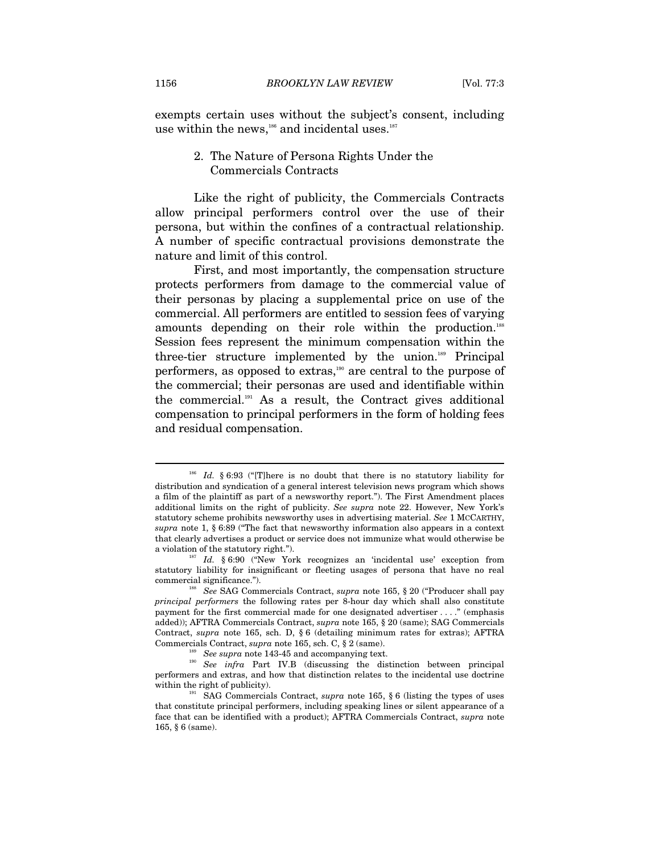exempts certain uses without the subject's consent, including use within the news,<sup>186</sup> and incidental uses.<sup>187</sup>

### 2. The Nature of Persona Rights Under the Commercials Contracts

Like the right of publicity, the Commercials Contracts allow principal performers control over the use of their persona, but within the confines of a contractual relationship. A number of specific contractual provisions demonstrate the nature and limit of this control.

First, and most importantly, the compensation structure protects performers from damage to the commercial value of their personas by placing a supplemental price on use of the commercial. All performers are entitled to session fees of varying amounts depending on their role within the production.<sup>188</sup> Session fees represent the minimum compensation within the three-tier structure implemented by the union.<sup>189</sup> Principal performers, as opposed to extras,190 are central to the purpose of the commercial; their personas are used and identifiable within the commercial.191 As a result, the Contract gives additional compensation to principal performers in the form of holding fees and residual compensation.

<sup>&</sup>lt;sup>186</sup> Id. § 6:93 ("[T]here is no doubt that there is no statutory liability for distribution and syndication of a general interest television news program which shows a film of the plaintiff as part of a newsworthy report."). The First Amendment places additional limits on the right of publicity. *See supra* note 22. However, New York's statutory scheme prohibits newsworthy uses in advertising material. *See* 1 MCCARTHY, *supra* note 1, § 6:89 ("The fact that newsworthy information also appears in a context that clearly advertises a product or service does not immunize what would otherwise be a violation of the statutory right."). 187 *Id.* § 6:90 ("New York recognizes an 'incidental use' exception from

statutory liability for insignificant or fleeting usages of persona that have no real commercial significance."). 188 *See* SAG Commercials Contract, *supra* note 165, § 20 ("Producer shall pay

*principal performers* the following rates per 8-hour day which shall also constitute payment for the first commercial made for one designated advertiser . . . ." (emphasis added)); AFTRA Commercials Contract, *supra* note 165, § 20 (same); SAG Commercials Contract, *supra* note 165, sch. D, § 6 (detailing minimum rates for extras); AFTRA Commercials Contract, *supra* note 165, sch. C, § 2 (same). 189 *See supra* note 143-45 and accompanying text. 190 *See infra* Part IV.B (discussing the distinction between principal

performers and extras, and how that distinction relates to the incidental use doctrine within the right of publicity).<br><sup>191</sup> SAG Commercials Contract, *supra* note 165, § 6 (listing the types of uses

that constitute principal performers, including speaking lines or silent appearance of a face that can be identified with a product); AFTRA Commercials Contract, *supra* note 165, § 6 (same).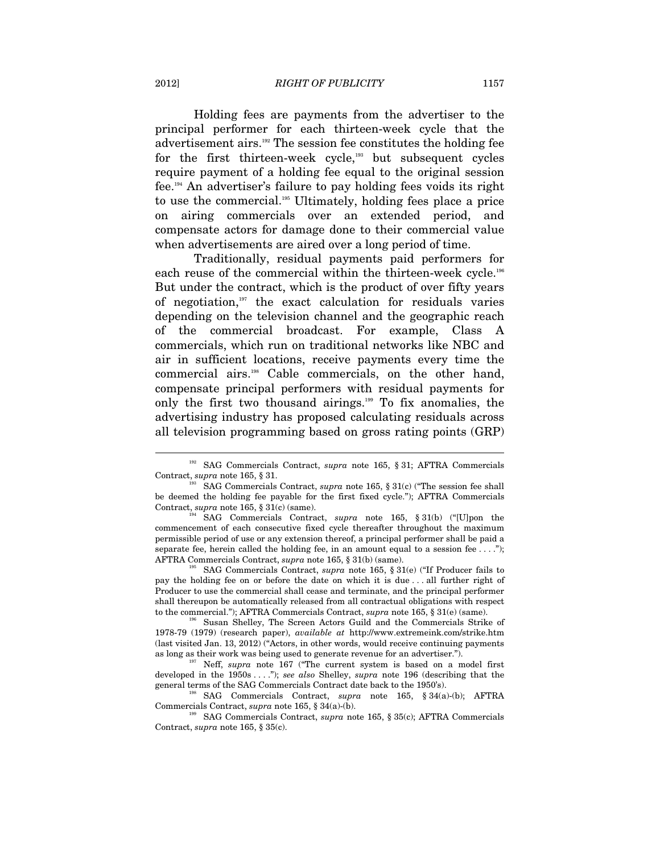Holding fees are payments from the advertiser to the principal performer for each thirteen-week cycle that the advertisement airs.192 The session fee constitutes the holding fee for the first thirteen-week cycle,<sup>193</sup> but subsequent cycles require payment of a holding fee equal to the original session fee.194 An advertiser's failure to pay holding fees voids its right to use the commercial.<sup>195</sup> Ultimately, holding fees place a price on airing commercials over an extended period, and compensate actors for damage done to their commercial value when advertisements are aired over a long period of time.

Traditionally, residual payments paid performers for each reuse of the commercial within the thirteen-week cycle.<sup>196</sup> But under the contract, which is the product of over fifty years of negotiation,197 the exact calculation for residuals varies depending on the television channel and the geographic reach of the commercial broadcast. For example, Class A commercials, which run on traditional networks like NBC and air in sufficient locations, receive payments every time the commercial airs.198 Cable commercials, on the other hand, compensate principal performers with residual payments for only the first two thousand airings.199 To fix anomalies, the advertising industry has proposed calculating residuals across all television programming based on gross rating points (GRP)

<sup>&</sup>lt;sup>192</sup> SAG Commercials Contract, *supra* note 165, § 31; AFTRA Commercials Contract, *supra* note 165, § 31.

<sup>&</sup>lt;sup>193</sup> SAG Commercials Contract, *supra* note 165, § 31(c) ("The session fee shall be deemed the holding fee payable for the first fixed cycle."); AFTRA Commercials Contract, *supra* note 165,  $\S 31(c)$  (same).

SAG Commercials Contract, *supra* note 165, § 31(b) ("[U]pon the commencement of each consecutive fixed cycle thereafter throughout the maximum permissible period of use or any extension thereof, a principal performer shall be paid a separate fee, herein called the holding fee, in an amount equal to a session fee  $\dots$ ."); AFTRA Commercials Contract, *supra* note 165, § 31(b) (same). 195 SAG Commercials Contract, *supra* note 165, § 31(e) ("If Producer fails to

pay the holding fee on or before the date on which it is due . . . all further right of Producer to use the commercial shall cease and terminate, and the principal performer shall thereupon be automatically released from all contractual obligations with respect

to the commercial."); AFTRA Commercials Contract, *supra* note 165, § 31(e) (same). Susan Shelley, The Screen Actors Guild and the Commercials Strike of 1978-79 (1979) (research paper), *available at* http://www.extremeink.com/strike.htm (last visited Jan. 13, 2012) ("Actors, in other words, would receive continuing payments as long as their work was being used to generate revenue for an advertiser."). 197 Neff, *supra* note 167 ("The current system is based on a model first

developed in the 1950s . . . ."); *see also* Shelley, *supra* note 196 (describing that the general terms of the SAG Commercials Contract date back to the 1950's). 198 SAG Commercials Contract, *supra* note 165, § 34(a)-(b); AFTRA

Commercials Contract, *supra* note 165, § 34(a)-(b). 199 SAG Commercials Contract, *supra* note 165, § 35(c); AFTRA Commercials

Contract, *supra* note 165, § 35(c).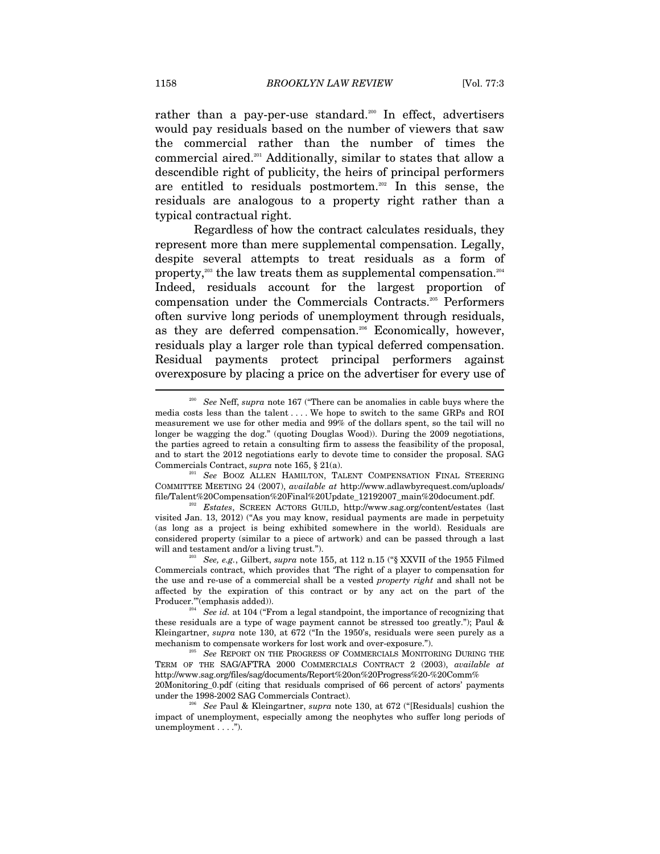rather than a pay-per-use standard.<sup>200</sup> In effect, advertisers would pay residuals based on the number of viewers that saw the commercial rather than the number of times the commercial aired.201 Additionally, similar to states that allow a descendible right of publicity, the heirs of principal performers are entitled to residuals postmortem.202 In this sense, the residuals are analogous to a property right rather than a typical contractual right.

Regardless of how the contract calculates residuals, they represent more than mere supplemental compensation. Legally, despite several attempts to treat residuals as a form of property, $203$  the law treats them as supplemental compensation. $204$ Indeed, residuals account for the largest proportion of compensation under the Commercials Contracts.205 Performers often survive long periods of unemployment through residuals, as they are deferred compensation.<sup>206</sup> Economically, however, residuals play a larger role than typical deferred compensation. Residual payments protect principal performers against overexposure by placing a price on the advertiser for every use of

<sup>200</sup> *See* Neff, *supra* note 167 ("There can be anomalies in cable buys where the media costs less than the talent . . . . We hope to switch to the same GRPs and ROI measurement we use for other media and 99% of the dollars spent, so the tail will no longer be wagging the dog." (quoting Douglas Wood)). During the 2009 negotiations, the parties agreed to retain a consulting firm to assess the feasibility of the proposal, and to start the 2012 negotiations early to devote time to consider the proposal. SAG Commercials Contract, *supra* note 165, § 21(a).<br><sup>201</sup> See BOOZ ALLEN HAMILTON, TALENT COMPENSATION FINAL STEERING

COMMITTEE MEETING 24 (2007), *available at* http://www.adlawbyrequest.com/uploads/ file/Talent%20Compensation%20Final%20Update\_12192007\_main%20document.pdf. 202 *Estates*, SCREEN ACTORS GUILD, http://www.sag.org/content/estates (last

visited Jan. 13, 2012) ("As you may know, residual payments are made in perpetuity (as long as a project is being exhibited somewhere in the world). Residuals are considered property (similar to a piece of artwork) and can be passed through a last will and testament and/or a living trust.").<br><sup>203</sup> See, e.g., Gilbert, *supra* note 155, at 112 n.15 ("§ XXVII of the 1955 Filmed

Commercials contract, which provides that 'The right of a player to compensation for the use and re-use of a commercial shall be a vested *property right* and shall not be affected by the expiration of this contract or by any act on the part of the

Producer.'"(emphasis added)). 204 *See id.* at 104 ("From a legal standpoint, the importance of recognizing that these residuals are a type of wage payment cannot be stressed too greatly."); Paul & Kleingartner, *supra* note 130, at 672 ("In the 1950's, residuals were seen purely as a mechanism to compensate workers for lost work and over-exposure."). 205 *See* REPORT ON THE PROGRESS OF COMMERCIALS MONITORING DURING THE

TERM OF THE SAG/AFTRA 2000 COMMERCIALS CONTRACT 2 (2003), *available at*  http://www.sag.org/files/sag/documents/Report%20on%20Progress%20-%20Comm% 20Monitoring\_0.pdf (citing that residuals comprised of 66 percent of actors' payments

under the 1998-2002 SAG Commercials Contract). 206 *See* Paul & Kleingartner, *supra* note 130, at 672 ("[Residuals] cushion the impact of unemployment, especially among the neophytes who suffer long periods of unemployment . . . .").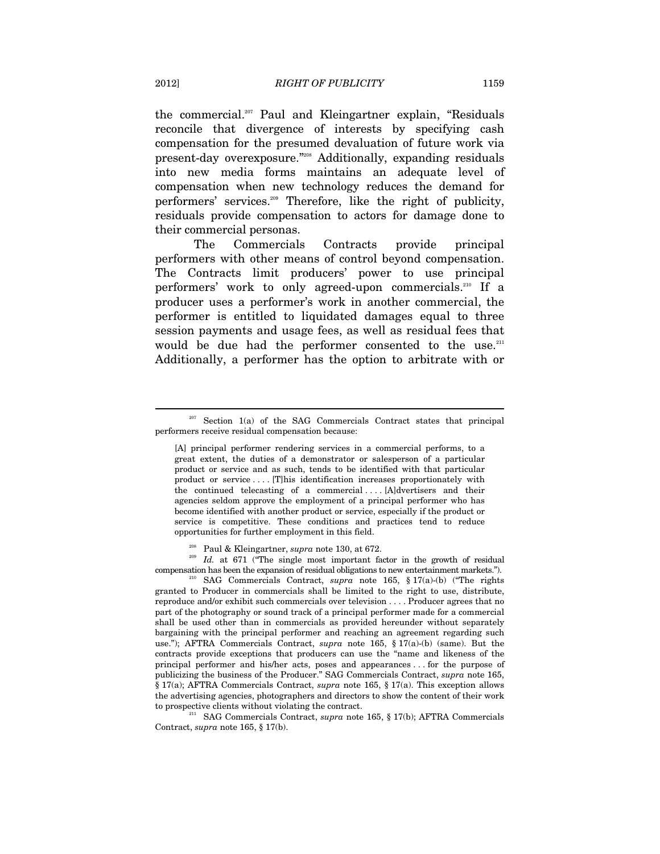the commercial.207 Paul and Kleingartner explain, "Residuals reconcile that divergence of interests by specifying cash compensation for the presumed devaluation of future work via present-day overexposure."208 Additionally, expanding residuals into new media forms maintains an adequate level of compensation when new technology reduces the demand for performers' services.209 Therefore, like the right of publicity, residuals provide compensation to actors for damage done to their commercial personas.

The Commercials Contracts provide principal performers with other means of control beyond compensation. The Contracts limit producers' power to use principal performers' work to only agreed-upon commercials.210 If a producer uses a performer's work in another commercial, the performer is entitled to liquidated damages equal to three session payments and usage fees, as well as residual fees that would be due had the performer consented to the use.<sup>211</sup> Additionally, a performer has the option to arbitrate with or

<sup>&</sup>lt;sup>207</sup> Section 1(a) of the SAG Commercials Contract states that principal performers receive residual compensation because:

<sup>[</sup>A] principal performer rendering services in a commercial performs, to a great extent, the duties of a demonstrator or salesperson of a particular product or service and as such, tends to be identified with that particular product or service . . . . [T]his identification increases proportionately with the continued telecasting of a commercial . . . . [A]dvertisers and their agencies seldom approve the employment of a principal performer who has become identified with another product or service, especially if the product or service is competitive. These conditions and practices tend to reduce opportunities for further employment in this field.

<sup>&</sup>lt;sup>208</sup> Paul & Kleingartner, *supra* note 130, at 672.<br><sup>209</sup> Id. at 671 ("The single most important factor in the growth of residual compensation has been the expansion of residual obligations to new entertainment markets."). 210 SAG Commercials Contract, *supra* note 165, § 17(a)-(b) ("The rights

granted to Producer in commercials shall be limited to the right to use, distribute, reproduce and/or exhibit such commercials over television . . . . Producer agrees that no part of the photography or sound track of a principal performer made for a commercial shall be used other than in commercials as provided hereunder without separately bargaining with the principal performer and reaching an agreement regarding such use."); AFTRA Commercials Contract, *supra* note 165, § 17(a)-(b) (same). But the contracts provide exceptions that producers can use the "name and likeness of the principal performer and his/her acts, poses and appearances . . . for the purpose of publicizing the business of the Producer." SAG Commercials Contract, *supra* note 165, § 17(a); AFTRA Commercials Contract, *supra* note 165, § 17(a). This exception allows the advertising agencies, photographers and directors to show the content of their work to prospective clients without violating the contract. 211 SAG Commercials Contract, *supra* note 165, § 17(b); AFTRA Commercials

Contract, *supra* note 165, § 17(b).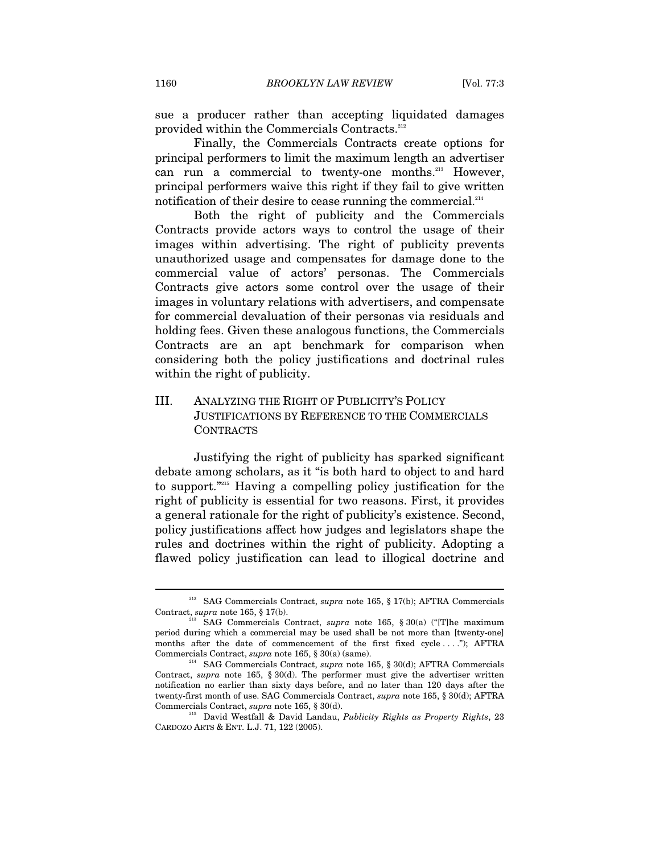sue a producer rather than accepting liquidated damages provided within the Commercials Contracts.<sup>212</sup>

Finally, the Commercials Contracts create options for principal performers to limit the maximum length an advertiser can run a commercial to twenty-one months.<sup>213</sup> However, principal performers waive this right if they fail to give written notification of their desire to cease running the commercial. $214$ 

Both the right of publicity and the Commercials Contracts provide actors ways to control the usage of their images within advertising. The right of publicity prevents unauthorized usage and compensates for damage done to the commercial value of actors' personas. The Commercials Contracts give actors some control over the usage of their images in voluntary relations with advertisers, and compensate for commercial devaluation of their personas via residuals and holding fees. Given these analogous functions, the Commercials Contracts are an apt benchmark for comparison when considering both the policy justifications and doctrinal rules within the right of publicity.

# III. ANALYZING THE RIGHT OF PUBLICITY'S POLICY JUSTIFICATIONS BY REFERENCE TO THE COMMERCIALS **CONTRACTS**

Justifying the right of publicity has sparked significant debate among scholars, as it "is both hard to object to and hard to support."215 Having a compelling policy justification for the right of publicity is essential for two reasons. First, it provides a general rationale for the right of publicity's existence. Second, policy justifications affect how judges and legislators shape the rules and doctrines within the right of publicity. Adopting a flawed policy justification can lead to illogical doctrine and

<sup>212</sup> SAG Commercials Contract, *supra* note 165, § 17(b); AFTRA Commercials Contract, *supra* note 165, § 17(b). 213 SAG Commercials Contract, *supra* note 165, § 30(a) ("[T]he maximum

period during which a commercial may be used shall be not more than [twenty-one] months after the date of commencement of the first fixed cycle . . . ."); AFTRA Commercials Contract, *supra* note 165, § 30(a) (same). 214 SAG Commercials Contract, *supra* note 165, § 30(d); AFTRA Commercials

Contract, *supra* note 165, § 30(d). The performer must give the advertiser written notification no earlier than sixty days before, and no later than 120 days after the twenty-first month of use. SAG Commercials Contract, *supra* note 165, § 30(d); AFTRA

Commercials Contract, *supra* note 165, § 30(d). 215 David Westfall & David Landau, *Publicity Rights as Property Rights*, <sup>23</sup> CARDOZO ARTS & ENT. L.J. 71, 122 (2005).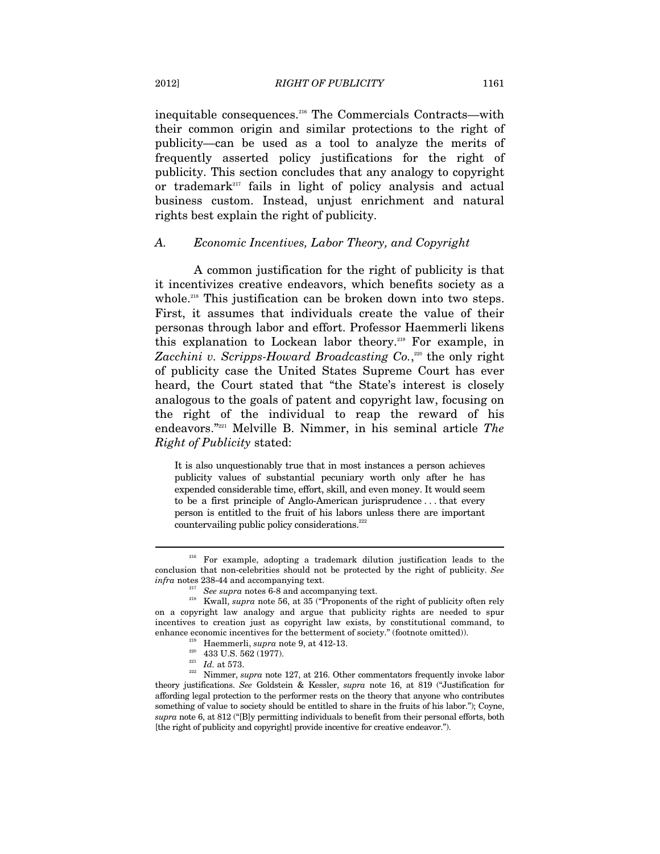inequitable consequences.216 The Commercials Contracts—with their common origin and similar protections to the right of publicity—can be used as a tool to analyze the merits of frequently asserted policy justifications for the right of publicity. This section concludes that any analogy to copyright or trademark<sup>217</sup> fails in light of policy analysis and actual business custom. Instead, unjust enrichment and natural rights best explain the right of publicity.

### *A. Economic Incentives, Labor Theory, and Copyright*

A common justification for the right of publicity is that it incentivizes creative endeavors, which benefits society as a whole.<sup>218</sup> This justification can be broken down into two steps. First, it assumes that individuals create the value of their personas through labor and effort. Professor Haemmerli likens this explanation to Lockean labor theory.<sup>219</sup> For example, in Zacchini v. Scripps-Howard Broadcasting Co.,<sup>220</sup> the only right of publicity case the United States Supreme Court has ever heard, the Court stated that "the State's interest is closely analogous to the goals of patent and copyright law, focusing on the right of the individual to reap the reward of his endeavors."221 Melville B. Nimmer, in his seminal article *The Right of Publicity* stated:

It is also unquestionably true that in most instances a person achieves publicity values of substantial pecuniary worth only after he has expended considerable time, effort, skill, and even money. It would seem to be a first principle of Anglo-American jurisprudence . . . that every person is entitled to the fruit of his labors unless there are important countervailing public policy considerations.<sup>222</sup>

<sup>&</sup>lt;sup>216</sup> For example, adopting a trademark dilution justification leads to the conclusion that non-celebrities should not be protected by the right of publicity. *See* 

*infra* notes 238-44 and accompanying text. 217 *See supra* notes 6-8 and accompanying text. 218 Kwall, *supra* note 56, at 35 ("Proponents of the right of publicity often rely on a copyright law analogy and argue that publicity rights are needed to spur incentives to creation just as copyright law exists, by constitutional command, to % enhance economic incentives for the betterment of society." (footnote omitted)).<br>
<sup>219</sup> Haemmerli, *supra* note 9, at 412-13.<br>
<sup>220</sup> 433 U.S. 562 (1977).<br>
<sup>221</sup> *Id.* at 573.<br>
<sup>222</sup> Nimmer, *supra* note 127, at 216. Oth

theory justifications. *See* Goldstein & Kessler, *supra* note 16, at 819 ("Justification for affording legal protection to the performer rests on the theory that anyone who contributes something of value to society should be entitled to share in the fruits of his labor."); Coyne, *supra* note 6, at 812 ("[B]y permitting individuals to benefit from their personal efforts, both [the right of publicity and copyright] provide incentive for creative endeavor.").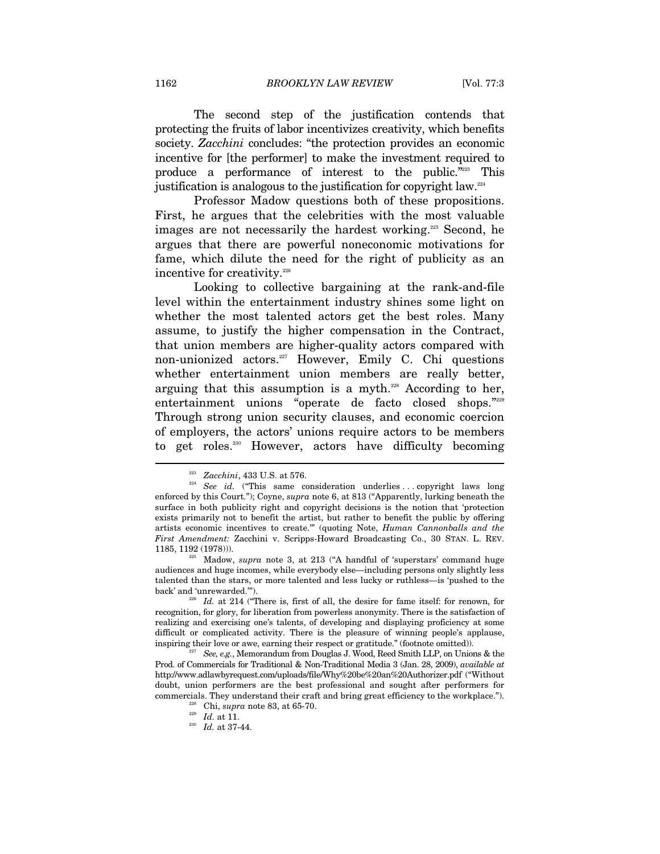1162 *BROOKLYN LAW REVIEW* [Vol. 77:3

The second step of the justification contends that protecting the fruits of labor incentivizes creativity, which benefits society. *Zacchini* concludes: "the protection provides an economic incentive for [the performer] to make the investment required to produce a performance of interest to the public."223 This justification is analogous to the justification for copyright law.224

Professor Madow questions both of these propositions. First, he argues that the celebrities with the most valuable images are not necessarily the hardest working.<sup>225</sup> Second, he argues that there are powerful noneconomic motivations for fame, which dilute the need for the right of publicity as an incentive for creativity.<sup>226</sup>

Looking to collective bargaining at the rank-and-file level within the entertainment industry shines some light on whether the most talented actors get the best roles. Many assume, to justify the higher compensation in the Contract, that union members are higher-quality actors compared with non-unionized actors.227 However, Emily C. Chi questions whether entertainment union members are really better, arguing that this assumption is a myth. $228$  According to her, entertainment unions "operate de facto closed shops."229 Through strong union security clauses, and economic coercion of employers, the actors' unions require actors to be members to get roles.230 However, actors have difficulty becoming

<sup>&</sup>lt;sup>223</sup> Zacchini, 433 U.S. at 576.<br><sup>224</sup> See id. ("This same consideration underlies ...copyright laws long enforced by this Court."); Coyne, *supra* note 6, at 813 ("Apparently, lurking beneath the surface in both publicity right and copyright decisions is the notion that 'protection exists primarily not to benefit the artist, but rather to benefit the public by offering artists economic incentives to create.'" (quoting Note, *Human Cannonballs and the First Amendment:* Zacchini v. Scripps-Howard Broadcasting Co., 30 STAN. L. REV. 1185, 1192 (1978))). 225 Madow, *supra* note 3, at 213 ("A handful of 'superstars' command huge

audiences and huge incomes, while everybody else—including persons only slightly less talented than the stars, or more talented and less lucky or ruthless—is 'pushed to the back' and 'unrewarded.'"). 226 *Id.* at 214 ("There is, first of all, the desire for fame itself: for renown, for

recognition, for glory, for liberation from powerless anonymity. There is the satisfaction of realizing and exercising one's talents, of developing and displaying proficiency at some difficult or complicated activity. There is the pleasure of winning people's applause, inspiring their love or awe, earning their respect or gratitude." (footnote omitted)).<br><sup>227</sup> See, e.g., Memorandum from Douglas J. Wood, Reed Smith LLP, on Unions & the

Prod. of Commercials for Traditional & Non-Traditional Media 3 (Jan. 28, 2009), *available at*  http://www.adlawbyrequest.com/uploads/file/Why%20be%20an%20Authorizer.pdf ("Without doubt, union performers are the best professional and sought after performers for commercials. They understand their craft and bring great efficiency to the workplace.").<br><sup>228</sup> Chi, *supra* note 83, at 65-70.<br>*Id.* at 11.<br>*Id.* at 37-44.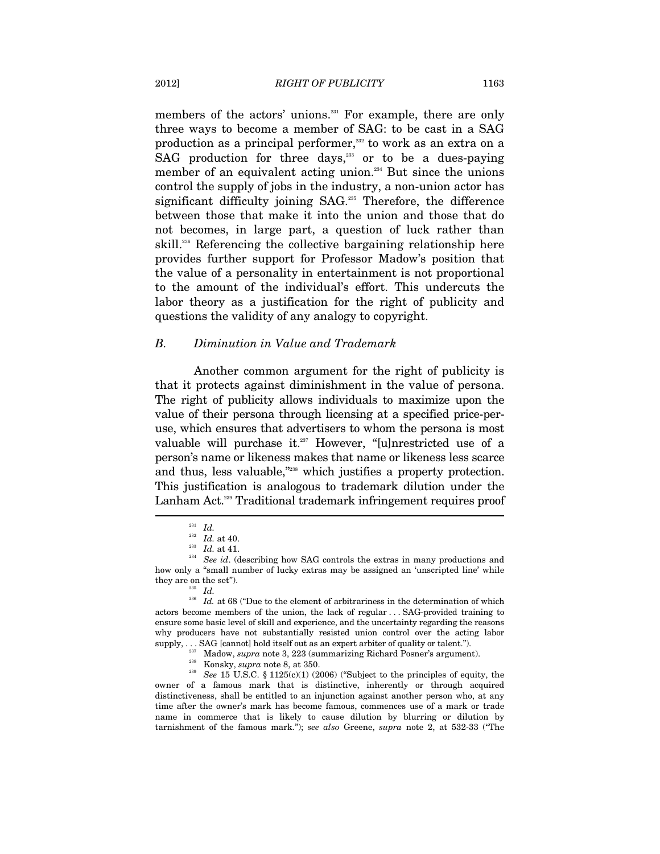members of the actors' unions.<sup>231</sup> For example, there are only three ways to become a member of SAG: to be cast in a SAG production as a principal performer,<sup>232</sup> to work as an extra on a  $SAG$  production for three days, $233$  or to be a dues-paying member of an equivalent acting union.<sup>234</sup> But since the unions control the supply of jobs in the industry, a non-union actor has significant difficulty joining SAG.<sup>235</sup> Therefore, the difference between those that make it into the union and those that do not becomes, in large part, a question of luck rather than skill.<sup>236</sup> Referencing the collective bargaining relationship here provides further support for Professor Madow's position that the value of a personality in entertainment is not proportional to the amount of the individual's effort. This undercuts the labor theory as a justification for the right of publicity and questions the validity of any analogy to copyright.

#### *B. Diminution in Value and Trademark*

Another common argument for the right of publicity is that it protects against diminishment in the value of persona. The right of publicity allows individuals to maximize upon the value of their persona through licensing at a specified price-peruse, which ensures that advertisers to whom the persona is most valuable will purchase it.<sup>237</sup> However, "[u]nrestricted use of a person's name or likeness makes that name or likeness less scarce and thus, less valuable,"238 which justifies a property protection. This justification is analogous to trademark dilution under the Lanham Act.<sup>239</sup> Traditional trademark infringement requires proof

owner of a famous mark that is distinctive, inherently or through acquired distinctiveness, shall be entitled to an injunction against another person who, at any time after the owner's mark has become famous, commences use of a mark or trade name in commerce that is likely to cause dilution by blurring or dilution by tarnishment of the famous mark."); *see also* Greene, *supra* note 2, at 532-33 ("The

 $\begin{array}{cc} 231 & Id. \\ 232 & Id. \end{array}$  at 40.

<sup>&</sup>lt;sup>233</sup> *Id.* at 41. <br><sup>234</sup> *See id.* (describing how SAG controls the extras in many productions and how only a "small number of lucky extras may be assigned an 'unscripted line' while

they are on the set").<br><sup>235</sup> *Id.* 236 *Id.* at 68 ("Due to the element of arbitrariness in the determination of which actors become members of the union, the lack of regular . . . SAG-provided training to ensure some basic level of skill and experience, and the uncertainty regarding the reasons why producers have not substantially resisted union control over the acting labor % supply, . . . SAG [cannot] hold itself out as an expert arbiter of quality or talent.").<br>Madow, supra note 3, 223 (summarizing Richard Posner's argument).<br><sup>238</sup> Konsky, *supra* note 8, at 350.<br>*239 See* 15 U.S.C. § 11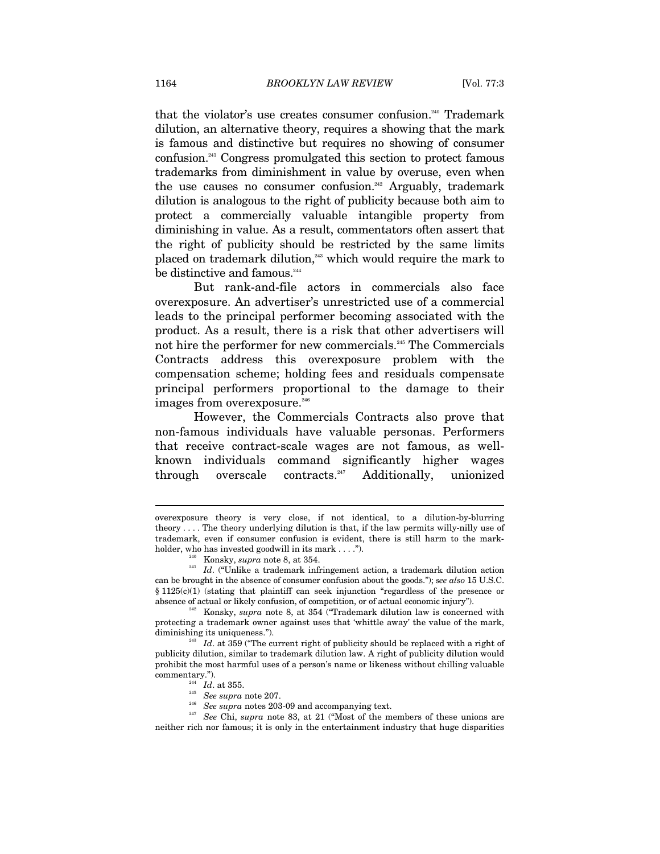that the violator's use creates consumer confusion.<sup>240</sup> Trademark dilution, an alternative theory, requires a showing that the mark is famous and distinctive but requires no showing of consumer confusion.241 Congress promulgated this section to protect famous trademarks from diminishment in value by overuse, even when the use causes no consumer confusion.<sup>242</sup> Arguably, trademark dilution is analogous to the right of publicity because both aim to protect a commercially valuable intangible property from diminishing in value. As a result, commentators often assert that the right of publicity should be restricted by the same limits placed on trademark dilution,243 which would require the mark to be distinctive and famous.<sup>244</sup>

But rank-and-file actors in commercials also face overexposure. An advertiser's unrestricted use of a commercial leads to the principal performer becoming associated with the product. As a result, there is a risk that other advertisers will not hire the performer for new commercials.<sup>245</sup> The Commercials Contracts address this overexposure problem with the compensation scheme; holding fees and residuals compensate principal performers proportional to the damage to their images from overexposure.<sup>246</sup>

However, the Commercials Contracts also prove that non-famous individuals have valuable personas. Performers that receive contract-scale wages are not famous, as wellknown individuals command significantly higher wages through overscale contracts.<sup>247</sup> Additionally, unionized

overexposure theory is very close, if not identical, to a dilution-by-blurring theory . . . . The theory underlying dilution is that, if the law permits willy-nilly use of trademark, even if consumer confusion is evident, there is still harm to the mark-

holder, who has invested goodwill in its mark . . . .").<br><sup>240</sup> Konsky, *supra* note 8, at 354.<br>*Id.* ("Unlike a trademark infringement action, a trademark dilution action can be brought in the absence of consumer confusion about the goods."); *see also* 15 U.S.C. § 1125(c)(1) (stating that plaintiff can seek injunction "regardless of the presence or absence of actual or likely confusion, of competition, or of actual economic injury"). 242 Konsky, *supra* note 8, at 354 ("Trademark dilution law is concerned with

protecting a trademark owner against uses that 'whittle away' the value of the mark,

 $\frac{243}{1}$  *Id.* at 359 ("The current right of publicity should be replaced with a right of publicity dilution, similar to trademark dilution law. A right of publicity dilution would prohibit the most harmful uses of a person's name or likeness without chilling valuable commentary."). 244 *Id*. at 355. 245 *See supra* note 207. 246 *See supra* notes 203-09 and accompanying text. 247 *See* Chi, *supra* note 83, at 21 ("Most of the members of these unions are

neither rich nor famous; it is only in the entertainment industry that huge disparities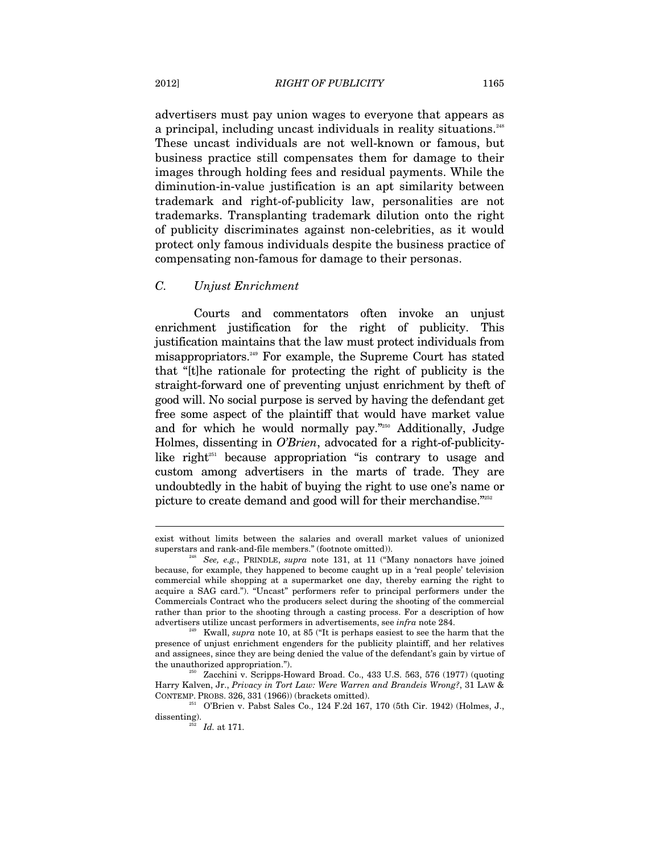advertisers must pay union wages to everyone that appears as a principal, including uncast individuals in reality situations.<sup>248</sup> These uncast individuals are not well-known or famous, but business practice still compensates them for damage to their images through holding fees and residual payments. While the diminution-in-value justification is an apt similarity between trademark and right-of-publicity law, personalities are not trademarks. Transplanting trademark dilution onto the right of publicity discriminates against non-celebrities, as it would protect only famous individuals despite the business practice of compensating non-famous for damage to their personas.

#### *C. Unjust Enrichment*

Courts and commentators often invoke an unjust enrichment justification for the right of publicity. This justification maintains that the law must protect individuals from misappropriators.249 For example, the Supreme Court has stated that "[t]he rationale for protecting the right of publicity is the straight-forward one of preventing unjust enrichment by theft of good will. No social purpose is served by having the defendant get free some aspect of the plaintiff that would have market value and for which he would normally pay."250 Additionally, Judge Holmes, dissenting in *O'Brien*, advocated for a right-of-publicitylike right $251}$  because appropriation "is contrary to usage and custom among advertisers in the marts of trade. They are undoubtedly in the habit of buying the right to use one's name or picture to create demand and good will for their merchandise."252

 $250$  Zacchini v. Scripps-Howard Broad. Co., 433 U.S. 563, 576 (1977) (quoting Harry Kalven, Jr., *Privacy in Tort Law: Were Warren and Brandeis Wrong?*, 31 LAW &

exist without limits between the salaries and overall market values of unionized superstars and rank-and-file members." (footnote omitted)). 248 *See, e.g.*, PRINDLE, *supra* note 131, at 11 ("Many nonactors have joined

because, for example, they happened to become caught up in a 'real people' television commercial while shopping at a supermarket one day, thereby earning the right to acquire a SAG card."). "Uncast" performers refer to principal performers under the Commercials Contract who the producers select during the shooting of the commercial rather than prior to the shooting through a casting process. For a description of how advertisers utilize uncast performers in advertisements, see *infra* note 284.<br><sup>249</sup> Kwall, *supra* note 10, at 85 ("It is perhaps easiest to see the harm that the

presence of unjust enrichment engenders for the publicity plaintiff, and her relatives and assignees, since they are being denied the value of the defendant's gain by virtue of the unauthorized appropriation.").

O'Brien v. Pabst Sales Co., 124 F.2d 167, 170 (5th Cir. 1942) (Holmes, J., dissenting).<br><sup>252</sup> *Id.* at 171.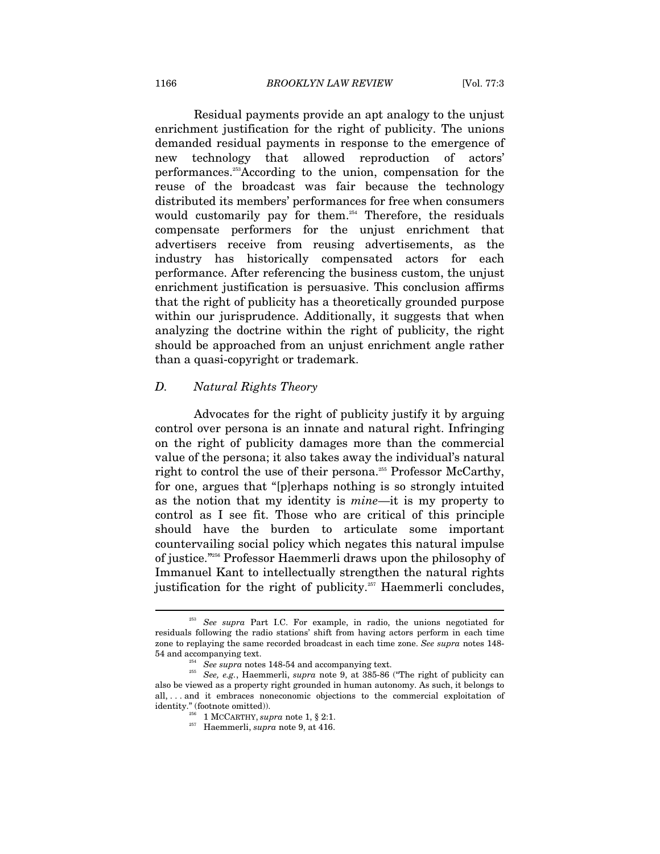Residual payments provide an apt analogy to the unjust enrichment justification for the right of publicity. The unions demanded residual payments in response to the emergence of new technology that allowed reproduction of actors' performances.253According to the union, compensation for the reuse of the broadcast was fair because the technology distributed its members' performances for free when consumers would customarily pay for them.<sup>254</sup> Therefore, the residuals compensate performers for the unjust enrichment that advertisers receive from reusing advertisements, as the industry has historically compensated actors for each performance. After referencing the business custom, the unjust enrichment justification is persuasive. This conclusion affirms that the right of publicity has a theoretically grounded purpose within our jurisprudence. Additionally, it suggests that when analyzing the doctrine within the right of publicity, the right should be approached from an unjust enrichment angle rather than a quasi-copyright or trademark.

# *D. Natural Rights Theory*

Advocates for the right of publicity justify it by arguing control over persona is an innate and natural right. Infringing on the right of publicity damages more than the commercial value of the persona; it also takes away the individual's natural right to control the use of their persona.<sup>255</sup> Professor McCarthy, for one, argues that "[p]erhaps nothing is so strongly intuited as the notion that my identity is *mine*—it is my property to control as I see fit. Those who are critical of this principle should have the burden to articulate some important countervailing social policy which negates this natural impulse of justice."256 Professor Haemmerli draws upon the philosophy of Immanuel Kant to intellectually strengthen the natural rights justification for the right of publicity.<sup>257</sup> Haemmerli concludes,

<sup>&</sup>lt;sup>253</sup> See supra Part I.C. For example, in radio, the unions negotiated for residuals following the radio stations' shift from having actors perform in each time zone to replaying the same recorded broadcast in each time zone. *See supra* notes 148-

<sup>54</sup> and accompanying text. 254 *See supra* notes 148-54 and accompanying text. 255 *See, e.g.*, Haemmerli, *supra* note 9, at 385-86 ("The right of publicity can also be viewed as a property right grounded in human autonomy. As such, it belongs to all, . . . and it embraces noneconomic objections to the commercial exploitation of identity." (footnote omitted)). 256 1 MCCARTHY, *supra* note 1, § 2:1. 257 Haemmerli, *supra* note 9, at 416.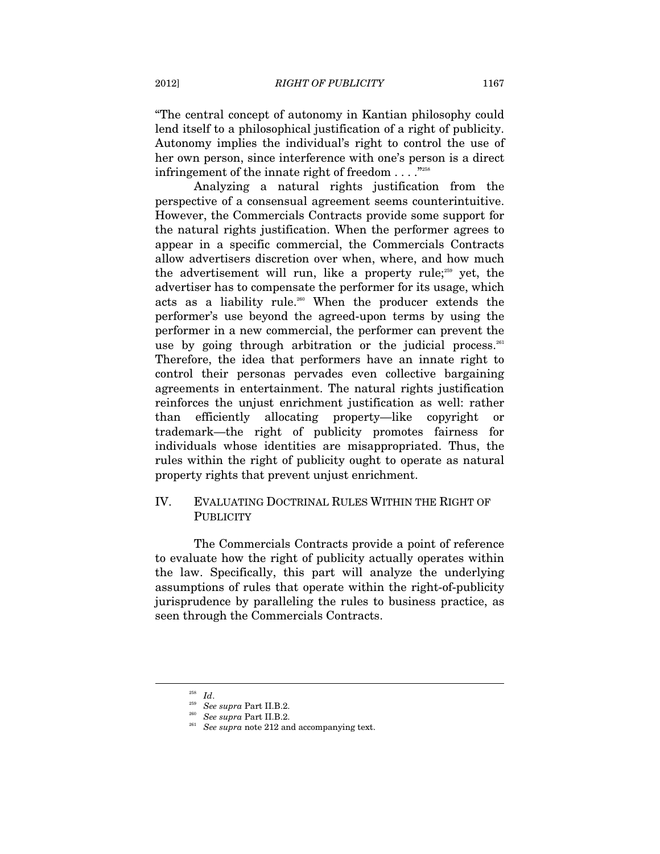"The central concept of autonomy in Kantian philosophy could lend itself to a philosophical justification of a right of publicity. Autonomy implies the individual's right to control the use of her own person, since interference with one's person is a direct infringement of the innate right of freedom . . . . "<sup>258</sup>

Analyzing a natural rights justification from the perspective of a consensual agreement seems counterintuitive. However, the Commercials Contracts provide some support for the natural rights justification. When the performer agrees to appear in a specific commercial, the Commercials Contracts allow advertisers discretion over when, where, and how much the advertisement will run, like a property rule;<sup>259</sup> yet, the advertiser has to compensate the performer for its usage, which acts as a liability rule.<sup>260</sup> When the producer extends the performer's use beyond the agreed-upon terms by using the performer in a new commercial, the performer can prevent the use by going through arbitration or the judicial process.<sup>261</sup> Therefore, the idea that performers have an innate right to control their personas pervades even collective bargaining agreements in entertainment. The natural rights justification reinforces the unjust enrichment justification as well: rather than efficiently allocating property—like copyright or trademark—the right of publicity promotes fairness for individuals whose identities are misappropriated. Thus, the rules within the right of publicity ought to operate as natural property rights that prevent unjust enrichment.

# IV. EVALUATING DOCTRINAL RULES WITHIN THE RIGHT OF **PUBLICITY**

The Commercials Contracts provide a point of reference to evaluate how the right of publicity actually operates within the law. Specifically, this part will analyze the underlying assumptions of rules that operate within the right-of-publicity jurisprudence by paralleling the rules to business practice, as seen through the Commercials Contracts.

<sup>258</sup> *Id*. 259 *See supra* Part II.B.2. 260 *See supra* Part II.B.2. 261 *See supra* note 212 and accompanying text.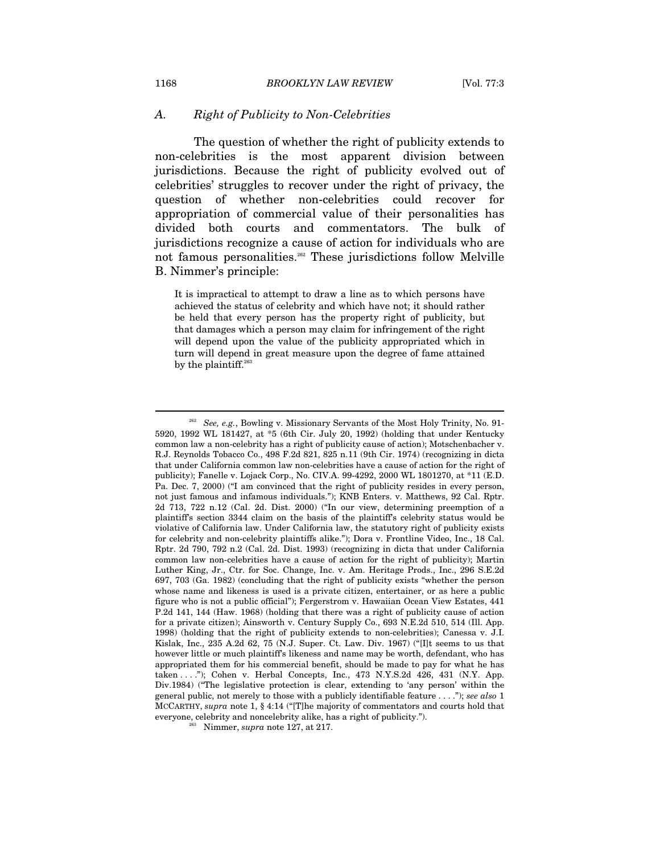#### *A. Right of Publicity to Non-Celebrities*

The question of whether the right of publicity extends to non-celebrities is the most apparent division between jurisdictions. Because the right of publicity evolved out of celebrities' struggles to recover under the right of privacy, the question of whether non-celebrities could recover for appropriation of commercial value of their personalities has divided both courts and commentators. The bulk of jurisdictions recognize a cause of action for individuals who are not famous personalities.<sup>262</sup> These jurisdictions follow Melville B. Nimmer's principle:

It is impractical to attempt to draw a line as to which persons have achieved the status of celebrity and which have not; it should rather be held that every person has the property right of publicity, but that damages which a person may claim for infringement of the right will depend upon the value of the publicity appropriated which in turn will depend in great measure upon the degree of fame attained by the plaintiff. $263$ 

<sup>262</sup> *See, e.g.*, Bowling v. Missionary Servants of the Most Holy Trinity, No. 91- 5920, 1992 WL 181427, at \*5 (6th Cir. July 20, 1992) (holding that under Kentucky common law a non-celebrity has a right of publicity cause of action); Motschenbacher v. R.J. Reynolds Tobacco Co., 498 F.2d 821, 825 n.11 (9th Cir. 1974) (recognizing in dicta that under California common law non-celebrities have a cause of action for the right of publicity); Fanelle v. Lojack Corp., No. CIV.A. 99-4292, 2000 WL 1801270, at \*11 (E.D. Pa. Dec. 7, 2000) ("I am convinced that the right of publicity resides in every person, not just famous and infamous individuals."); KNB Enters. v. Matthews, 92 Cal. Rptr. 2d 713, 722 n.12 (Cal. 2d. Dist. 2000) ("In our view, determining preemption of a plaintiff's section 3344 claim on the basis of the plaintiff's celebrity status would be violative of California law. Under California law, the statutory right of publicity exists for celebrity and non-celebrity plaintiffs alike."); Dora v. Frontline Video, Inc., 18 Cal. Rptr. 2d 790, 792 n.2 (Cal. 2d. Dist. 1993) (recognizing in dicta that under California common law non-celebrities have a cause of action for the right of publicity); Martin Luther King, Jr., Ctr. for Soc. Change, Inc. v. Am. Heritage Prods., Inc., 296 S.E.2d 697, 703 (Ga. 1982) (concluding that the right of publicity exists "whether the person whose name and likeness is used is a private citizen, entertainer, or as here a public figure who is not a public official"); Fergerstrom v. Hawaiian Ocean View Estates, 441 P.2d 141, 144 (Haw. 1968) (holding that there was a right of publicity cause of action for a private citizen); Ainsworth v. Century Supply Co., 693 N.E.2d 510, 514 (Ill. App. 1998) (holding that the right of publicity extends to non-celebrities); Canessa v. J.I. Kislak, Inc., 235 A.2d 62, 75 (N.J. Super. Ct. Law. Div. 1967) ("[I]t seems to us that however little or much plaintiff's likeness and name may be worth, defendant, who has appropriated them for his commercial benefit, should be made to pay for what he has taken . . . ."); Cohen v. Herbal Concepts, Inc., 473 N.Y.S.2d 426, 431 (N.Y. App. Div.1984) ("The legislative protection is clear, extending to 'any person' within the general public, not merely to those with a publicly identifiable feature . . . ."); *see also* 1 MCCARTHY, *supra* note 1, § 4:14 ("[T]he majority of commentators and courts hold that everyone, celebrity and noncelebrity alike, has a right of publicity."). 263 Nimmer, *supra* note 127, at 217.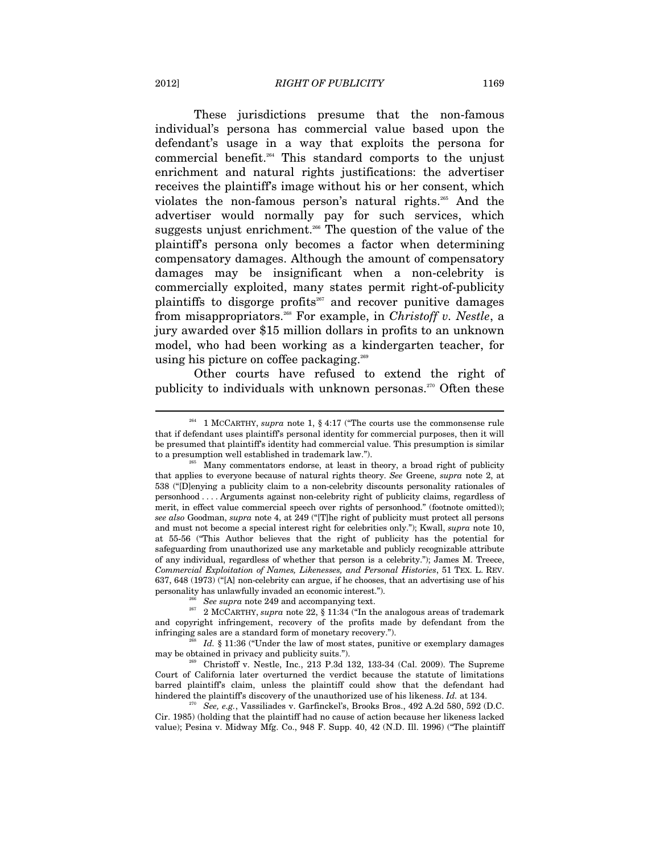These jurisdictions presume that the non-famous individual's persona has commercial value based upon the defendant's usage in a way that exploits the persona for commercial benefit.264 This standard comports to the unjust enrichment and natural rights justifications: the advertiser receives the plaintiff's image without his or her consent, which violates the non-famous person's natural rights.<sup>265</sup> And the advertiser would normally pay for such services, which suggests unjust enrichment.<sup>266</sup> The question of the value of the plaintiff's persona only becomes a factor when determining compensatory damages. Although the amount of compensatory damages may be insignificant when a non-celebrity is commercially exploited, many states permit right-of-publicity plaintiffs to disgorge profits<sup>267</sup> and recover punitive damages from misappropriators.268 For example, in *Christoff v. Nestle*, a jury awarded over \$15 million dollars in profits to an unknown model, who had been working as a kindergarten teacher, for using his picture on coffee packaging.<sup>269</sup>

Other courts have refused to extend the right of publicity to individuals with unknown personas. $270$  Often these

<sup>264 1</sup> MCCARTHY, *supra* note 1, § 4:17 ("The courts use the commonsense rule that if defendant uses plaintiff's personal identity for commercial purposes, then it will be presumed that plaintiff's identity had commercial value. This presumption is similar

to a presumption well established in trademark law.").<br><sup>265</sup> Many commentators endorse, at least in theory, a broad right of publicity that applies to everyone because of natural rights theory. *See* Greene, *supra* note 2, at 538 ("[D]enying a publicity claim to a non-celebrity discounts personality rationales of personhood . . . . Arguments against non-celebrity right of publicity claims, regardless of merit, in effect value commercial speech over rights of personhood." (footnote omitted)); *see also* Goodman, *supra* note 4, at 249 ("[T]he right of publicity must protect all persons and must not become a special interest right for celebrities only."); Kwall, *supra* note 10, at 55-56 ("This Author believes that the right of publicity has the potential for safeguarding from unauthorized use any marketable and publicly recognizable attribute of any individual, regardless of whether that person is a celebrity."); James M. Treece, *Commercial Exploitation of Names, Likenesses, and Personal Histories*, 51 TEX. L. REV. 637, 648 (1973) ("[A] non-celebrity can argue, if he chooses, that an advertising use of his personality has unlawfully invaded an economic interest.").

<sup>266</sup> *See supra* note 249 and accompanying text. 267 2 MCCARTHY, *supra* note 22, § 11:34 ("In the analogous areas of trademark and copyright infringement, recovery of the profits made by defendant from the infringing sales are a standard form of monetary recovery.").

Id. § 11:36 ("Under the law of most states, punitive or exemplary damages may be obtained in privacy and publicity suits.").<br><sup>269</sup> Christoff v. Nestle, Inc., 213 P.3d 132, 133-34 (Cal. 2009). The Supreme

Court of California later overturned the verdict because the statute of limitations barred plaintiff's claim, unless the plaintiff could show that the defendant had hindered the plaintiff's discovery of the unauthorized use of his likeness. *Id.* at 134. 270 See, e.g., Vassiliades v. Garfinckel's, Brooks Bros., 492 A.2d 580, 592 (D.C.

Cir. 1985) (holding that the plaintiff had no cause of action because her likeness lacked value); Pesina v. Midway Mfg. Co., 948 F. Supp. 40, 42 (N.D. Ill. 1996) ("The plaintiff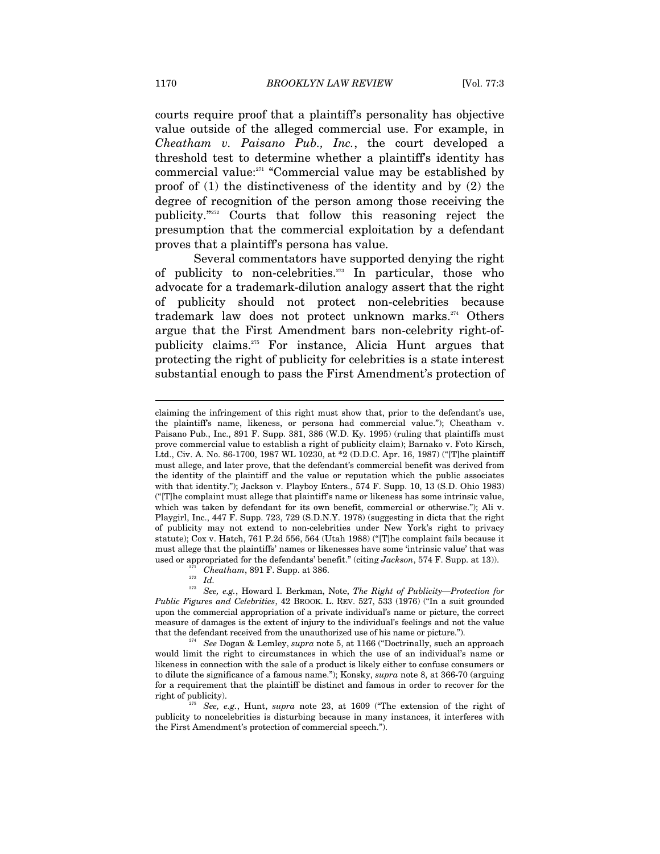courts require proof that a plaintiff's personality has objective value outside of the alleged commercial use. For example, in *Cheatham v. Paisano Pub., Inc.*, the court developed a threshold test to determine whether a plaintiff's identity has commercial value:<sup>271</sup> "Commercial value may be established by proof of (1) the distinctiveness of the identity and by (2) the degree of recognition of the person among those receiving the publicity."272 Courts that follow this reasoning reject the presumption that the commercial exploitation by a defendant proves that a plaintiff's persona has value.

Several commentators have supported denying the right of publicity to non-celebrities.<sup>273</sup> In particular, those who advocate for a trademark-dilution analogy assert that the right of publicity should not protect non-celebrities because trademark law does not protect unknown marks.<sup>274</sup> Others argue that the First Amendment bars non-celebrity right-ofpublicity claims.275 For instance, Alicia Hunt argues that protecting the right of publicity for celebrities is a state interest substantial enough to pass the First Amendment's protection of

claiming the infringement of this right must show that, prior to the defendant's use, the plaintiff's name, likeness, or persona had commercial value."); Cheatham v. Paisano Pub., Inc., 891 F. Supp. 381, 386 (W.D. Ky. 1995) (ruling that plaintiffs must prove commercial value to establish a right of publicity claim); Barnako v. Foto Kirsch, Ltd., Civ. A. No. 86-1700, 1987 WL 10230, at \*2 (D.D.C. Apr. 16, 1987) ("[T]he plaintiff must allege, and later prove, that the defendant's commercial benefit was derived from the identity of the plaintiff and the value or reputation which the public associates with that identity."); Jackson v. Playboy Enters., 574 F. Supp. 10, 13 (S.D. Ohio 1983) ("[T]he complaint must allege that plaintiff's name or likeness has some intrinsic value, which was taken by defendant for its own benefit, commercial or otherwise."); Ali v. Playgirl, Inc., 447 F. Supp. 723, 729 (S.D.N.Y. 1978) (suggesting in dicta that the right of publicity may not extend to non-celebrities under New York's right to privacy statute); Cox v. Hatch, 761 P.2d 556, 564 (Utah 1988) ("[T]he complaint fails because it must allege that the plaintiffs' names or likenesses have some 'intrinsic value' that was used or appropriated for the defendants' benefit." (citing *Jackson*, 574 F. Supp. at 13)).<br><sup>271</sup> Cheatham, 891 F. Supp. at 386.<br>*272 Id.* 

<sup>273</sup> *See, e.g.*, Howard I. Berkman, Note, *The Right of Publicity—Protection for Public Figures and Celebrities*, 42 BROOK. L. REV. 527, 533 (1976) ("In a suit grounded upon the commercial appropriation of a private individual's name or picture, the correct measure of damages is the extent of injury to the individual's feelings and not the value that the defendant received from the unauthorized use of his name or picture."). 274 *See* Dogan & Lemley, *supra* note 5, at 1166 ("Doctrinally, such an approach

would limit the right to circumstances in which the use of an individual's name or likeness in connection with the sale of a product is likely either to confuse consumers or to dilute the significance of a famous name."); Konsky, *supra* note 8, at 366-70 (arguing for a requirement that the plaintiff be distinct and famous in order to recover for the right of publicity). 275 *See, e.g.*, Hunt, *supra* note 23, at 1609 ("The extension of the right of

publicity to noncelebrities is disturbing because in many instances, it interferes with the First Amendment's protection of commercial speech.").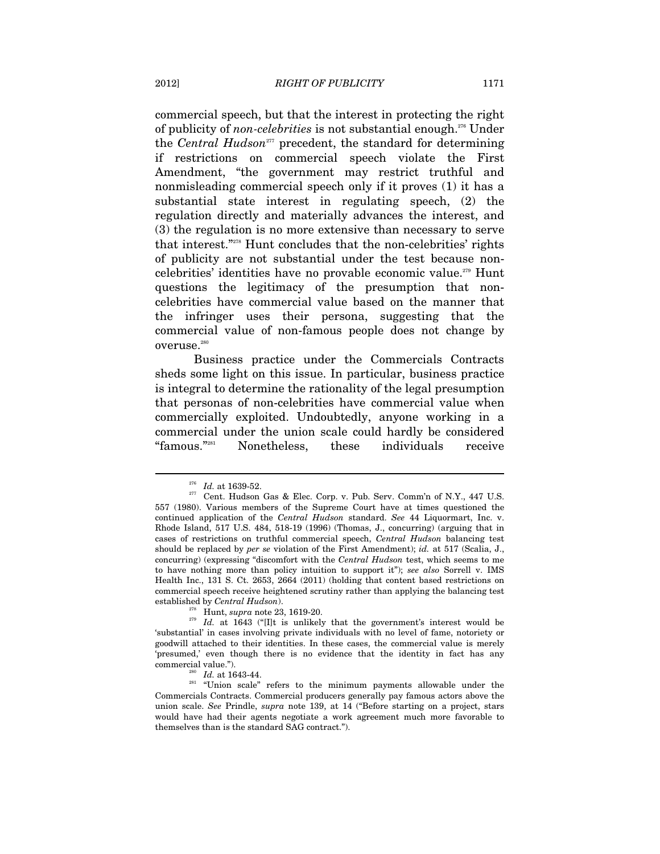commercial speech, but that the interest in protecting the right of publicity of *non-celebrities* is not substantial enough.276 Under the *Central Hudson*<sup>277</sup> precedent, the standard for determining if restrictions on commercial speech violate the First Amendment, "the government may restrict truthful and nonmisleading commercial speech only if it proves (1) it has a substantial state interest in regulating speech, (2) the regulation directly and materially advances the interest, and (3) the regulation is no more extensive than necessary to serve that interest."278 Hunt concludes that the non-celebrities' rights of publicity are not substantial under the test because noncelebrities' identities have no provable economic value.279 Hunt questions the legitimacy of the presumption that noncelebrities have commercial value based on the manner that the infringer uses their persona, suggesting that the commercial value of non-famous people does not change by overuse.<sup>280</sup>

Business practice under the Commercials Contracts sheds some light on this issue. In particular, business practice is integral to determine the rationality of the legal presumption that personas of non-celebrities have commercial value when commercially exploited. Undoubtedly, anyone working in a commercial under the union scale could hardly be considered "famous."281 Nonetheless, these individuals receive

<sup>&</sup>lt;sup>276</sup> *Id.* at 1639-52.<br><sup>277</sup> Cent. Hudson Gas & Elec. Corp. v. Pub. Serv. Comm'n of N.Y., 447 U.S. 557 (1980). Various members of the Supreme Court have at times questioned the continued application of the *Central Hudson* standard. *See* 44 Liquormart, Inc. v. Rhode Island, 517 U.S. 484, 518-19 (1996) (Thomas, J., concurring) (arguing that in cases of restrictions on truthful commercial speech, *Central Hudson* balancing test should be replaced by *per se* violation of the First Amendment); *id.* at 517 (Scalia, J., concurring) (expressing "discomfort with the *Central Hudson* test, which seems to me to have nothing more than policy intuition to support it"); *see also* Sorrell v. IMS Health Inc., 131 S. Ct. 2653, 2664 (2011) (holding that content based restrictions on commercial speech receive heightened scrutiny rather than applying the balancing test

established by *Central Hudson*).<br><sup>278</sup> Hunt, *supra* note 23, 1619-20.<br><sup>279</sup> Id. at 1643 ("[I]t is unlikely that the government's interest would be 'substantial' in cases involving private individuals with no level of fame, notoriety or goodwill attached to their identities. In these cases, the commercial value is merely 'presumed,' even though there is no evidence that the identity in fact has any commercial value.").

<sup>&</sup>lt;sup>280</sup> Id. at 1643-44. **281** "Union scale" refers to the minimum payments allowable under the Commercials Contracts. Commercial producers generally pay famous actors above the union scale. *See* Prindle, *supra* note 139, at 14 ("Before starting on a project, stars would have had their agents negotiate a work agreement much more favorable to themselves than is the standard SAG contract.").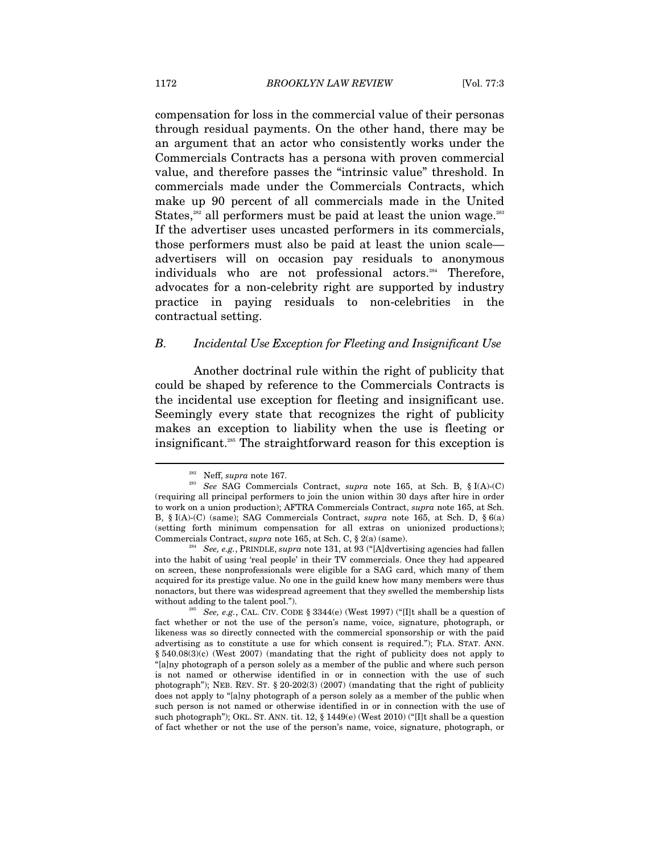compensation for loss in the commercial value of their personas through residual payments. On the other hand, there may be an argument that an actor who consistently works under the Commercials Contracts has a persona with proven commercial value, and therefore passes the "intrinsic value" threshold. In commercials made under the Commercials Contracts, which make up 90 percent of all commercials made in the United States, $282$  all performers must be paid at least the union wage. $283$ If the advertiser uses uncasted performers in its commercials, those performers must also be paid at least the union scale advertisers will on occasion pay residuals to anonymous individuals who are not professional actors.<sup>284</sup> Therefore, advocates for a non-celebrity right are supported by industry practice in paying residuals to non-celebrities in the contractual setting.

#### *B. Incidental Use Exception for Fleeting and Insignificant Use*

Another doctrinal rule within the right of publicity that could be shaped by reference to the Commercials Contracts is the incidental use exception for fleeting and insignificant use. Seemingly every state that recognizes the right of publicity makes an exception to liability when the use is fleeting or insignificant.285 The straightforward reason for this exception is

<sup>282</sup> Neff, *supra* note 167. 283 *See* SAG Commercials Contract, *supra* note 165, at Sch. B, § I(A)-(C) (requiring all principal performers to join the union within 30 days after hire in order to work on a union production); AFTRA Commercials Contract, *supra* note 165, at Sch. B, § I(A)-(C) (same); SAG Commercials Contract, *supra* note 165, at Sch. D, § 6(a) (setting forth minimum compensation for all extras on unionized productions); Commercials Contract, *supra* note 165, at Sch. C, § 2(a) (same).

<sup>&</sup>lt;sup>34</sup> See, e.g., PRINDLE, *supra* note 131, at 93 ("[A]dvertising agencies had fallen into the habit of using 'real people' in their TV commercials. Once they had appeared on screen, these nonprofessionals were eligible for a SAG card, which many of them acquired for its prestige value. No one in the guild knew how many members were thus nonactors, but there was widespread agreement that they swelled the membership lists without adding to the talent pool.").<br><sup>285</sup> *See, e.g.*, CAL. CIV. CODE § 3344(e) (West 1997) ("[I]t shall be a question of

fact whether or not the use of the person's name, voice, signature, photograph, or likeness was so directly connected with the commercial sponsorship or with the paid advertising as to constitute a use for which consent is required."); FLA. STAT. ANN. § 540.08(3)(c) (West 2007) (mandating that the right of publicity does not apply to "[a]ny photograph of a person solely as a member of the public and where such person is not named or otherwise identified in or in connection with the use of such photograph"); NEB. REV. ST. § 20-202(3) (2007) (mandating that the right of publicity does not apply to "[a]ny photograph of a person solely as a member of the public when such person is not named or otherwise identified in or in connection with the use of such photograph"); OKL. ST. ANN. tit. 12, § 1449(e) (West 2010) ("[I]t shall be a question of fact whether or not the use of the person's name, voice, signature, photograph, or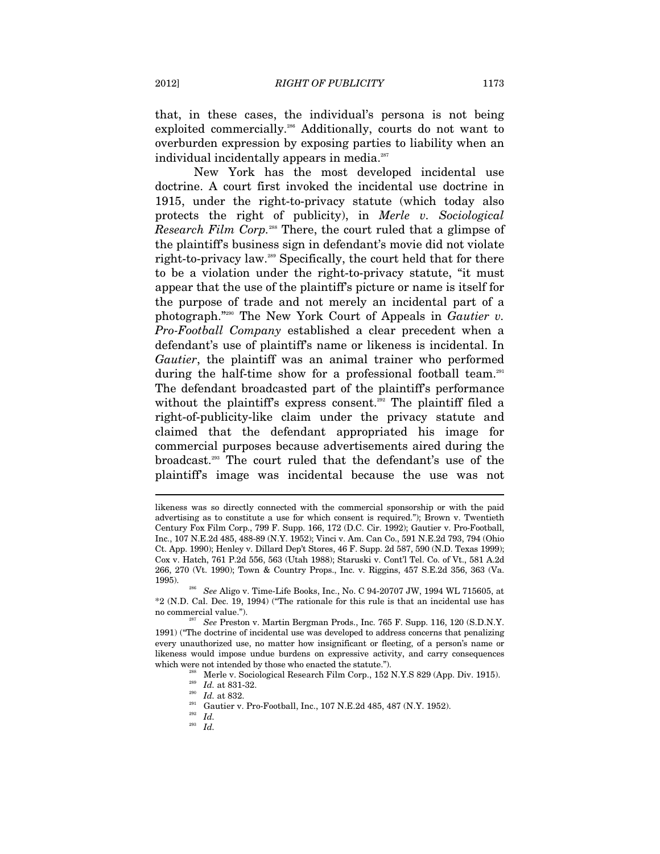that, in these cases, the individual's persona is not being exploited commercially.<sup>286</sup> Additionally, courts do not want to overburden expression by exposing parties to liability when an individual incidentally appears in media.<sup>287</sup>

New York has the most developed incidental use doctrine. A court first invoked the incidental use doctrine in 1915, under the right-to-privacy statute (which today also protects the right of publicity), in *Merle v. Sociological Research Film Corp.*<sup>288</sup> There, the court ruled that a glimpse of the plaintiff's business sign in defendant's movie did not violate right-to-privacy law.289 Specifically, the court held that for there to be a violation under the right-to-privacy statute, "it must appear that the use of the plaintiff's picture or name is itself for the purpose of trade and not merely an incidental part of a photograph."290 The New York Court of Appeals in *Gautier v. Pro-Football Company* established a clear precedent when a defendant's use of plaintiff's name or likeness is incidental. In *Gautier*, the plaintiff was an animal trainer who performed during the half-time show for a professional football team.<sup>291</sup> The defendant broadcasted part of the plaintiff's performance without the plaintiff's express consent.<sup>292</sup> The plaintiff filed a right-of-publicity-like claim under the privacy statute and claimed that the defendant appropriated his image for commercial purposes because advertisements aired during the broadcast.293 The court ruled that the defendant's use of the plaintiff's image was incidental because the use was not

 $\overline{a}$ 

<sup>293</sup> *Id.*

likeness was so directly connected with the commercial sponsorship or with the paid advertising as to constitute a use for which consent is required."); Brown v. Twentieth Century Fox Film Corp., 799 F. Supp. 166, 172 (D.C. Cir. 1992); Gautier v. Pro-Football, Inc., 107 N.E.2d 485, 488-89 (N.Y. 1952); Vinci v. Am. Can Co., 591 N.E.2d 793, 794 (Ohio Ct. App. 1990); Henley v. Dillard Dep't Stores, 46 F. Supp. 2d 587, 590 (N.D. Texas 1999); Cox v. Hatch, 761 P.2d 556, 563 (Utah 1988); Staruski v. Cont'l Tel. Co. of Vt., 581 A.2d 266, 270 (Vt. 1990); Town & Country Props., Inc. v. Riggins, 457 S.E.2d 356, 363 (Va. 1995). 286 *See* Aligo v. Time-Life Books, Inc., No. C 94-20707 JW, 1994 WL 715605, at

<sup>\*2 (</sup>N.D. Cal. Dec. 19, 1994) ("The rationale for this rule is that an incidental use has no commercial value."). 287 *See* Preston v. Martin Bergman Prods., Inc. 765 F. Supp. 116, 120 (S.D.N.Y.

<sup>1991) (&</sup>quot;The doctrine of incidental use was developed to address concerns that penalizing every unauthorized use, no matter how insignificant or fleeting, of a person's name or likeness would impose undue burdens on expressive activity, and carry consequences % which were not intended by those who enacted the statute.").<br>
<sup>288</sup> Merle v. Sociological Research Film Corp., 152 N.Y.S 829 (App. Div. 1915).<br>
<sup>289</sup> *Id.* at 831-32.<br>
<sup>290</sup> *Id.* at 832.<br>
Gautier v. Pro-Football, Inc.,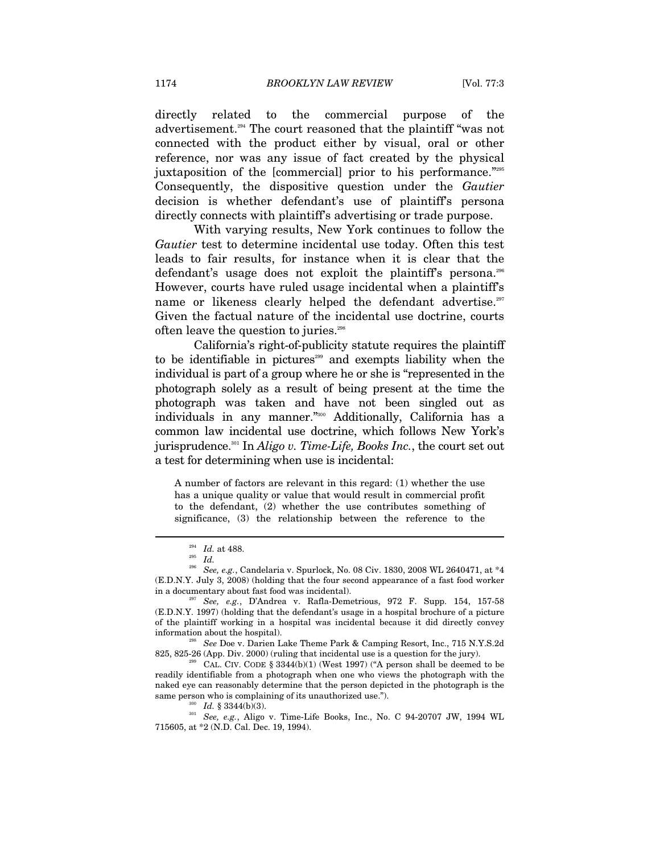directly related to the commercial purpose of the advertisement.294 The court reasoned that the plaintiff "was not connected with the product either by visual, oral or other reference, nor was any issue of fact created by the physical juxtaposition of the [commercial] prior to his performance."295 Consequently, the dispositive question under the *Gautier*  decision is whether defendant's use of plaintiff's persona directly connects with plaintiff's advertising or trade purpose.

With varying results, New York continues to follow the *Gautier* test to determine incidental use today. Often this test leads to fair results, for instance when it is clear that the defendant's usage does not exploit the plaintiff's persona.<sup>296</sup> However, courts have ruled usage incidental when a plaintiff's name or likeness clearly helped the defendant advertise.<sup>297</sup> Given the factual nature of the incidental use doctrine, courts often leave the question to juries.<sup>298</sup>

California's right-of-publicity statute requires the plaintiff to be identifiable in pictures<sup>299</sup> and exempts liability when the individual is part of a group where he or she is "represented in the photograph solely as a result of being present at the time the photograph was taken and have not been singled out as individuals in any manner."300 Additionally, California has a common law incidental use doctrine, which follows New York's jurisprudence.301 In *Aligo v. Time-Life, Books Inc.*, the court set out a test for determining when use is incidental:

A number of factors are relevant in this regard: (1) whether the use has a unique quality or value that would result in commercial profit to the defendant, (2) whether the use contributes something of significance, (3) the relationship between the reference to the

<sup>294</sup> *Id.* at 488. 295 *Id.*

<sup>296</sup> *See, e.g.*, Candelaria v. Spurlock, No. 08 Civ. 1830, 2008 WL 2640471, at \*4 (E.D.N.Y. July 3, 2008) (holding that the four second appearance of a fast food worker in a documentary about fast food was incidental). 297 *See, e.g.*, D'Andrea v. Rafla-Demetrious, 972 F. Supp. 154, 157-58

<sup>(</sup>E.D.N.Y. 1997) (holding that the defendant's usage in a hospital brochure of a picture of the plaintiff working in a hospital was incidental because it did directly convey information about the hospital). 298 *See* Doe v. Darien Lake Theme Park & Camping Resort, Inc., 715 N.Y.S.2d

<sup>825, 825-26 (</sup>App. Div. 2000) (ruling that incidental use is a question for the jury).<br>  $\text{CAL}$  CAL. CIV. CODE § 3344(b)(1) (West 1997) ("A person shall be deemed to be

readily identifiable from a photograph when one who views the photograph with the naked eye can reasonably determine that the person depicted in the photograph is the

same person who is complaining of its unauthorized use.").<br><sup>300</sup> *Id.* § 3344(b)(3).<br><sup>301</sup> *See, e.g.*, Aligo v. Time-Life Books, Inc., No. C 94-20707 JW, 1994 WL 715605, at \*2 (N.D. Cal. Dec. 19, 1994).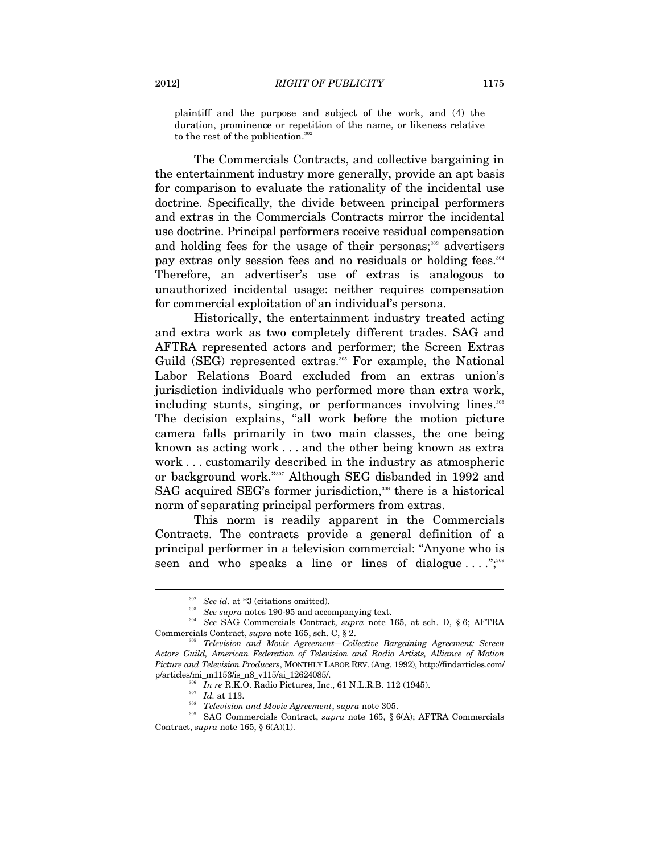plaintiff and the purpose and subject of the work, and (4) the duration, prominence or repetition of the name, or likeness relative to the rest of the publication.<sup>302</sup>

The Commercials Contracts, and collective bargaining in the entertainment industry more generally, provide an apt basis for comparison to evaluate the rationality of the incidental use doctrine. Specifically, the divide between principal performers and extras in the Commercials Contracts mirror the incidental use doctrine. Principal performers receive residual compensation and holding fees for the usage of their personas; $303$  advertisers pay extras only session fees and no residuals or holding fees.<sup>304</sup> Therefore, an advertiser's use of extras is analogous to unauthorized incidental usage: neither requires compensation for commercial exploitation of an individual's persona.

Historically, the entertainment industry treated acting and extra work as two completely different trades. SAG and AFTRA represented actors and performer; the Screen Extras Guild (SEG) represented extras.<sup>305</sup> For example, the National Labor Relations Board excluded from an extras union's jurisdiction individuals who performed more than extra work, including stunts, singing, or performances involving lines.<sup>306</sup> The decision explains, "all work before the motion picture camera falls primarily in two main classes, the one being known as acting work . . . and the other being known as extra work . . . customarily described in the industry as atmospheric or background work."307 Although SEG disbanded in 1992 and SAG acquired SEG's former jurisdiction,<sup>308</sup> there is a historical norm of separating principal performers from extras.

This norm is readily apparent in the Commercials Contracts. The contracts provide a general definition of a principal performer in a television commercial: "Anyone who is seen and who speaks a line or lines of dialogue  $\dots$ ";<sup>309</sup>

<sup>302</sup> *See id*. at \*3 (citations omitted). 303 *See supra* notes 190-95 and accompanying text. 304 *See* SAG Commercials Contract, *supra* note 165, at sch. D, § 6; AFTRA Commercials Contract, *supra* note 165, sch. C, § 2.<br><sup>305</sup> Television and Movie Agreement—Collective Bargaining Agreement; Screen

*Actors Guild, American Federation of Television and Radio Artists, Alliance of Motion Picture and Television Producers*, MONTHLY LABOR REV. (Aug. 1992), http://findarticles.com/

<sup>&</sup>lt;sup>306</sup> *In re* R.K.O. Radio Pictures, Inc., 61 N.L.R.B. 112 (1945).<br><sup>307</sup> *Id.* at 113.<br><sup>308</sup> *Television and Movie Agreement, supra* note 305.<br>309 SAG Commercials Contract, *supra* note 165, § 6(A); AFTRA Commercials Contract, *supra* note 165, § 6(A)(1).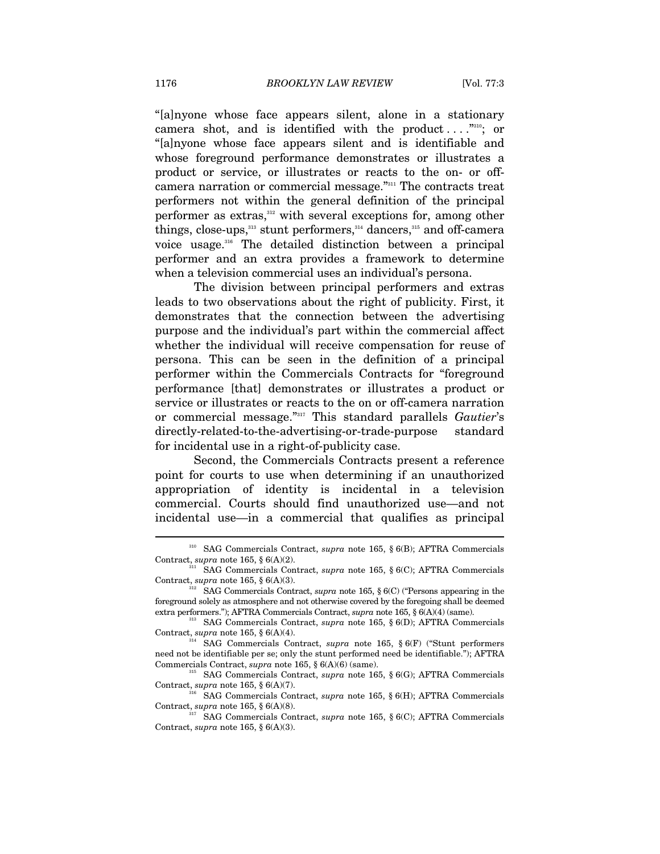"[a]nyone whose face appears silent, alone in a stationary camera shot, and is identified with the product  $\dots$ ." "[a]nyone whose face appears silent and is identifiable and whose foreground performance demonstrates or illustrates a product or service, or illustrates or reacts to the on- or offcamera narration or commercial message."311 The contracts treat performers not within the general definition of the principal performer as extras,<sup>312</sup> with several exceptions for, among other things, close-ups, $313$  stunt performers, $314$  dancers, $315$  and off-camera voice usage.<sup>316</sup> The detailed distinction between a principal performer and an extra provides a framework to determine when a television commercial uses an individual's persona.

The division between principal performers and extras leads to two observations about the right of publicity. First, it demonstrates that the connection between the advertising purpose and the individual's part within the commercial affect whether the individual will receive compensation for reuse of persona. This can be seen in the definition of a principal performer within the Commercials Contracts for "foreground performance [that] demonstrates or illustrates a product or service or illustrates or reacts to the on or off-camera narration or commercial message."317 This standard parallels *Gautier*'s directly-related-to-the-advertising-or-trade-purpose standard for incidental use in a right-of-publicity case.

Second, the Commercials Contracts present a reference point for courts to use when determining if an unauthorized appropriation of identity is incidental in a television commercial. Courts should find unauthorized use—and not incidental use—in a commercial that qualifies as principal

<sup>310</sup> SAG Commercials Contract, *supra* note 165, § 6(B); AFTRA Commercials Contract, *supra* note 165, § 6(A)(2). 311 SAG Commercials Contract, *supra* note 165, § 6(C); AFTRA Commercials

Contract, *supra* note 165, § 6(A)(3).<br><sup>312</sup> SAG Commercials Contract, *supra* note 165, § 6(C) ("Persons appearing in the

foreground solely as atmosphere and not otherwise covered by the foregoing shall be deemed extra performers."); AFTRA Commercials Contract, *supra* note 165, § 6(A)(4) (same). 313 SAG Commercials Contract, *supra* note 165, § 6(D); AFTRA Commercials

Contract, *supra* note 165, § 6(A)(4). <sup>314</sup> SAG Commercials Contract, *supra* note 165, § 6(F) ("Stunt performers

need not be identifiable per se; only the stunt performed need be identifiable."); AFTRA Commercials Contract, *supra* note 165, § 6(A)(6) (same). 315 SAG Commercials Contract, *supra* note 165, § 6(G); AFTRA Commercials

Contract, *supra* note 165, § 6(A)(7).<br><sup>316</sup> SAG Commercials Contract, *supra* note 165, § 6(H); AFTRA Commercials

Contract, *supra* note 165, § 6(A)(8). 317 SAG Commercials Contract, *supra* note 165, § 6(C); AFTRA Commercials

Contract, *supra* note 165, § 6(A)(3).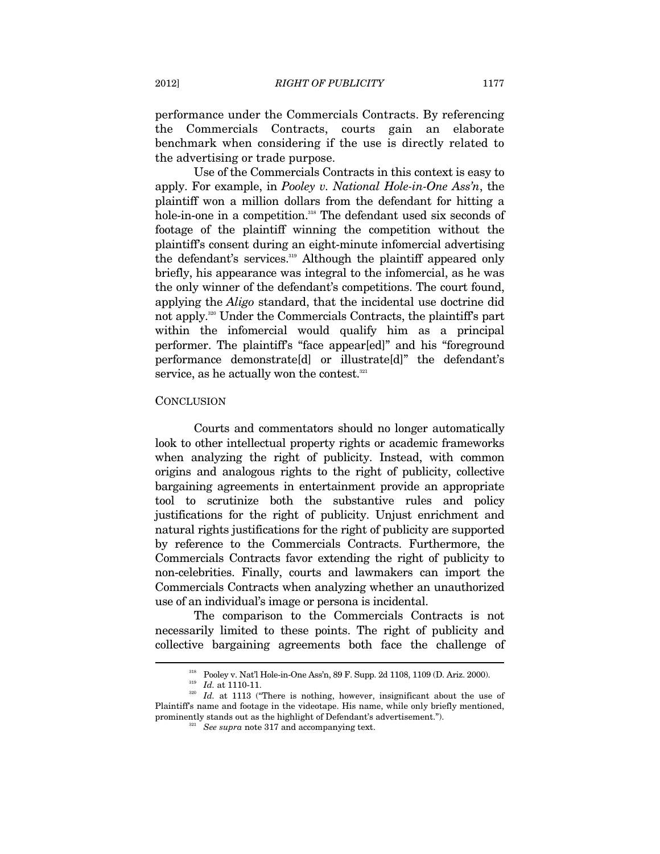performance under the Commercials Contracts. By referencing the Commercials Contracts, courts gain an elaborate benchmark when considering if the use is directly related to the advertising or trade purpose.

Use of the Commercials Contracts in this context is easy to apply. For example, in *Pooley v. National Hole-in-One Ass'n*, the plaintiff won a million dollars from the defendant for hitting a hole-in-one in a competition.<sup>318</sup> The defendant used six seconds of footage of the plaintiff winning the competition without the plaintiff's consent during an eight-minute infomercial advertising the defendant's services.<sup>319</sup> Although the plaintiff appeared only briefly, his appearance was integral to the infomercial, as he was the only winner of the defendant's competitions. The court found, applying the *Aligo* standard, that the incidental use doctrine did not apply.320 Under the Commercials Contracts, the plaintiff's part within the infomercial would qualify him as a principal performer. The plaintiff's "face appear[ed]" and his "foreground performance demonstrate[d] or illustrate[d]" the defendant's service, as he actually won the contest.<sup>321</sup>

#### **CONCLUSION**

Courts and commentators should no longer automatically look to other intellectual property rights or academic frameworks when analyzing the right of publicity. Instead, with common origins and analogous rights to the right of publicity, collective bargaining agreements in entertainment provide an appropriate tool to scrutinize both the substantive rules and policy justifications for the right of publicity. Unjust enrichment and natural rights justifications for the right of publicity are supported by reference to the Commercials Contracts. Furthermore, the Commercials Contracts favor extending the right of publicity to non-celebrities. Finally, courts and lawmakers can import the Commercials Contracts when analyzing whether an unauthorized use of an individual's image or persona is incidental.

The comparison to the Commercials Contracts is not necessarily limited to these points. The right of publicity and collective bargaining agreements both face the challenge of

<sup>&</sup>lt;sup>318</sup> Pooley v. Nat'l Hole-in-One Ass'n, 89 F. Supp. 2d 1108, 1109 (D. Ariz. 2000).<br><sup>319</sup> *Id.* at 1110-11.<br><sup>320</sup> *Id.* at 1113 ("There is nothing, however, insignificant about the use of Plaintiff's name and footage in the videotape. His name, while only briefly mentioned, prominently stands out as the highlight of Defendant's advertisement."). 321 *See supra* note 317 and accompanying text.